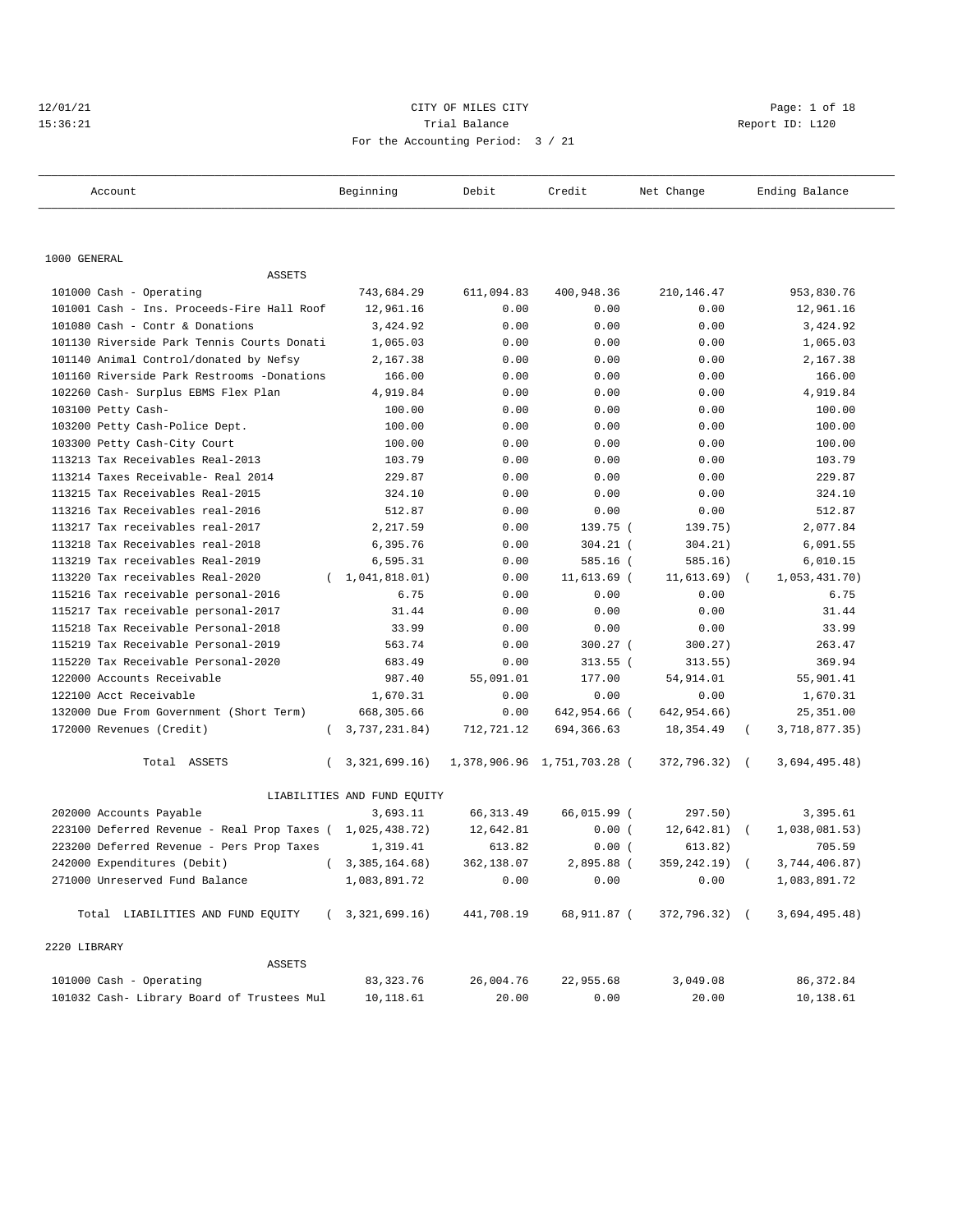#### 12/01/21 CITY OF MILES CITY Page: 1 of 18 15:36:21 Trial Balance Report ID: L120 For the Accounting Period: 3 / 21

| Account                                      | Beginning                   | Debit      | Credit                      | Net Change    | Ending Balance              |
|----------------------------------------------|-----------------------------|------------|-----------------------------|---------------|-----------------------------|
|                                              |                             |            |                             |               |                             |
| 1000 GENERAL                                 |                             |            |                             |               |                             |
| <b>ASSETS</b>                                |                             |            |                             |               |                             |
| 101000 Cash - Operating                      | 743,684.29                  | 611,094.83 | 400,948.36                  | 210,146.47    | 953,830.76                  |
| 101001 Cash - Ins. Proceeds-Fire Hall Roof   | 12,961.16                   | 0.00       | 0.00                        | 0.00          | 12,961.16                   |
| 101080 Cash - Contr & Donations              | 3,424.92                    | 0.00       | 0.00                        | 0.00          | 3,424.92                    |
| 101130 Riverside Park Tennis Courts Donati   | 1,065.03                    | 0.00       | 0.00                        | 0.00          | 1,065.03                    |
| 101140 Animal Control/donated by Nefsy       | 2,167.38                    | 0.00       | 0.00                        | 0.00          | 2,167.38                    |
| 101160 Riverside Park Restrooms -Donations   | 166.00                      | 0.00       | 0.00                        | 0.00          | 166.00                      |
| 102260 Cash- Surplus EBMS Flex Plan          | 4,919.84                    | 0.00       | 0.00                        | 0.00          | 4,919.84                    |
| 103100 Petty Cash-                           | 100.00                      | 0.00       | 0.00                        | 0.00          | 100.00                      |
| 103200 Petty Cash-Police Dept.               | 100.00                      | 0.00       | 0.00                        | 0.00          | 100.00                      |
| 103300 Petty Cash-City Court                 | 100.00                      | 0.00       | 0.00                        | 0.00          | 100.00                      |
| 113213 Tax Receivables Real-2013             | 103.79                      | 0.00       | 0.00                        | 0.00          | 103.79                      |
| 113214 Taxes Receivable- Real 2014           | 229.87                      | 0.00       | 0.00                        | 0.00          | 229.87                      |
| 113215 Tax Receivables Real-2015             | 324.10                      | 0.00       | 0.00                        | 0.00          | 324.10                      |
| 113216 Tax Receivables real-2016             | 512.87                      | 0.00       | 0.00                        | 0.00          | 512.87                      |
| 113217 Tax receivables real-2017             | 2,217.59                    | 0.00       | 139.75 (                    | 139.75)       | 2,077.84                    |
| 113218 Tax Receivables real-2018             | 6,395.76                    | 0.00       | $304.21$ (                  | 304.21)       | 6,091.55                    |
| 113219 Tax receivables Real-2019             | 6,595.31                    | 0.00       | 585.16 (                    | 585.16)       | 6,010.15                    |
| 113220 Tax receivables Real-2020<br>$\left($ | 1,041,818.01)               | 0.00       | 11,613.69 (                 | 11,613.69)    | 1,053,431.70)               |
| 115216 Tax receivable personal-2016          | 6.75                        | 0.00       | 0.00                        | 0.00          | 6.75                        |
| 115217 Tax receivable personal-2017          | 31.44                       | 0.00       | 0.00                        | 0.00          | 31.44                       |
| 115218 Tax Receivable Personal-2018          | 33.99                       | 0.00       | 0.00                        | 0.00          | 33.99                       |
| 115219 Tax Receivable Personal-2019          | 563.74                      | 0.00       | 300.27 (                    | 300.27)       | 263.47                      |
| 115220 Tax Receivable Personal-2020          | 683.49                      | 0.00       | $313.55$ (                  | 313.55)       | 369.94                      |
| 122000 Accounts Receivable                   | 987.40                      | 55,091.01  | 177.00                      | 54,914.01     | 55,901.41                   |
| 122100 Acct Receivable                       | 1,670.31                    | 0.00       | 0.00                        | 0.00          | 1,670.31                    |
| 132000 Due From Government (Short Term)      | 668,305.66                  | 0.00       | 642,954.66 (                | 642,954.66)   | 25,351.00                   |
| 172000 Revenues (Credit)                     | 3,737,231.84)<br>$\left($   | 712,721.12 | 694,366.63                  | 18,354.49     | 3,718,877.35)<br>$\left($   |
| Total ASSETS<br>$\left($                     | 3, 321, 699. 16)            |            | 1,378,906.96 1,751,703.28 ( | 372,796.32) ( | 3,694,495.48)               |
|                                              | LIABILITIES AND FUND EQUITY |            |                             |               |                             |
| 202000 Accounts Payable                      | 3,693.11                    | 66, 313.49 | 66,015.99 (                 | 297.50)       | 3,395.61                    |
| 223100 Deferred Revenue - Real Prop Taxes (  | 1,025,438.72)               | 12,642.81  | 0.00(                       | 12,642.81)    | 1,038,081.53)<br>$\sqrt{ }$ |
| 223200 Deferred Revenue - Pers Prop Taxes    | 1,319.41                    | 613.82     | 0.00(                       | 613.82)       | 705.59                      |
| 242000 Expenditures (Debit)                  | (3, 385, 164.68)            | 362,138.07 | 2,895.88 (                  | 359,242.19) ( | 3,744,406.87)               |
| 271000 Unreserved Fund Balance               | 1,083,891.72                | 0.00       | 0.00                        | 0.00          | 1,083,891.72                |
| Total LIABILITIES AND FUND EQUITY            | (3,321,699,16)              | 441,708.19 | 68,911.87 (                 | 372,796.32) ( | 3,694,495.48)               |
| 2220 LIBRARY                                 |                             |            |                             |               |                             |
| ASSETS                                       |                             |            |                             |               |                             |
| 101000 Cash - Operating                      | 83, 323. 76                 | 26,004.76  | 22,955.68                   | 3,049.08      | 86, 372.84                  |
| 101032 Cash- Library Board of Trustees Mul   | 10,118.61                   | 20.00      | 0.00                        | 20.00         | 10,138.61                   |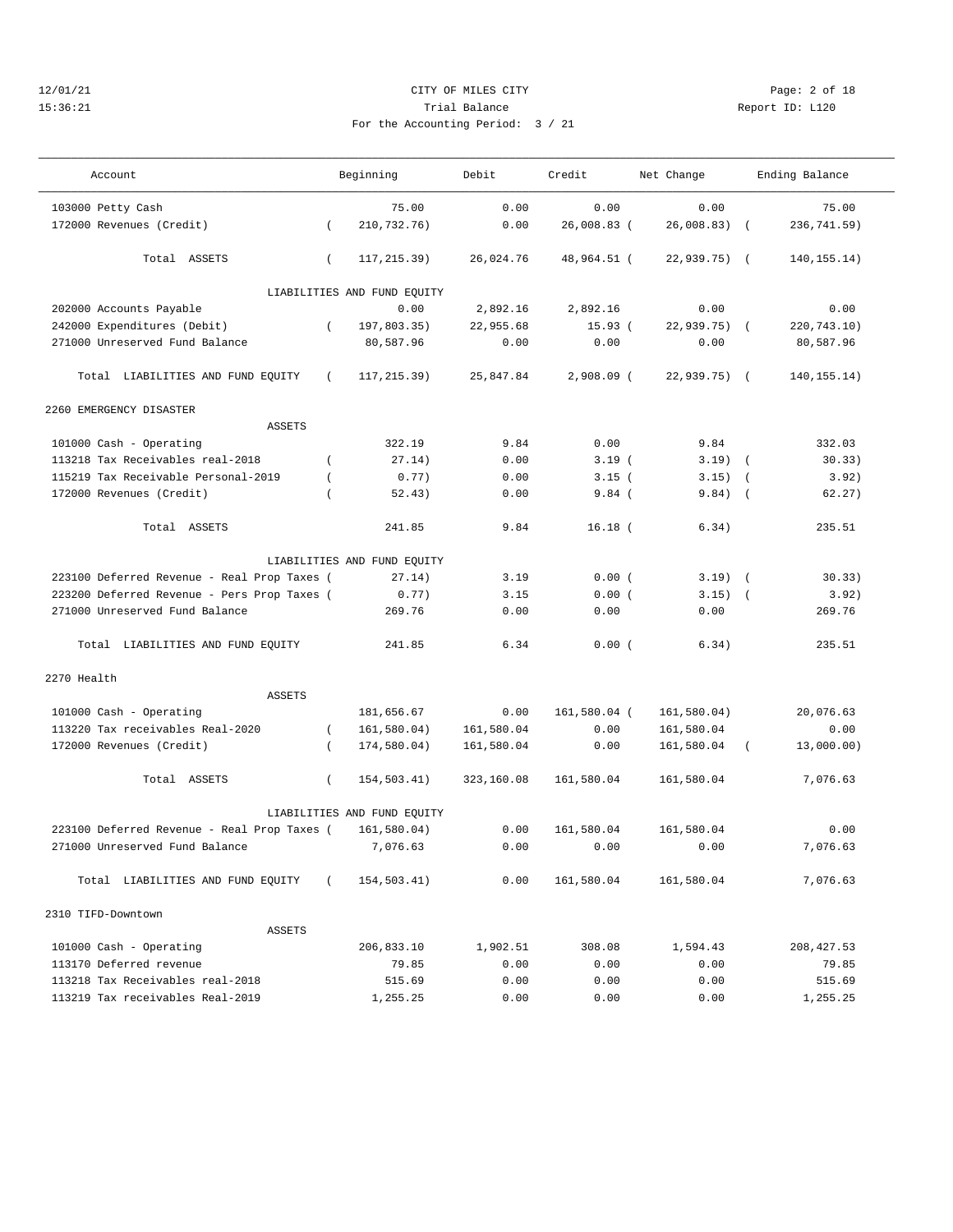#### 12/01/21 CITY OF MILES CITY Page: 2 of 18 15:36:21 Trial Balance Report ID: L120 For the Accounting Period: 3 / 21

| Account                                     |                | Beginning                   | Debit      | Credit       | Net Change    |            | Ending Balance |
|---------------------------------------------|----------------|-----------------------------|------------|--------------|---------------|------------|----------------|
| 103000 Petty Cash                           |                | 75.00                       | 0.00       | 0.00         | 0.00          |            | 75.00          |
| 172000 Revenues (Credit)                    | $\left($       | 210,732.76)                 | 0.00       | 26,008.83 (  | 26,008.83)    | $\sqrt{2}$ | 236,741.59)    |
| Total ASSETS                                | $\left($       | 117, 215.39)                | 26,024.76  | 48,964.51 (  | $22,939.75$ ( |            | 140, 155. 14)  |
|                                             |                | LIABILITIES AND FUND EQUITY |            |              |               |            |                |
| 202000 Accounts Payable                     |                | 0.00                        | 2,892.16   | 2,892.16     | 0.00          |            | 0.00           |
| 242000 Expenditures (Debit)                 | $\left($       | 197,803.35)                 | 22,955.68  | 15.93(       | $22,939.75$ ( |            | 220,743.10)    |
| 271000 Unreserved Fund Balance              |                | 80,587.96                   | 0.00       | 0.00         | 0.00          |            | 80,587.96      |
| Total LIABILITIES AND FUND EQUITY           | $\left($       | 117, 215.39)                | 25,847.84  | $2,908.09$ ( | $22,939.75$ ( |            | 140, 155. 14)  |
| 2260 EMERGENCY DISASTER                     |                |                             |            |              |               |            |                |
| <b>ASSETS</b>                               |                |                             |            |              |               |            |                |
| 101000 Cash - Operating                     |                | 322.19                      | 9.84       | 0.00         | 9.84          |            | 332.03         |
| 113218 Tax Receivables real-2018            | $\left($       | 27.14)                      | 0.00       | 3.19(        | $3.19$ (      |            | 30.33)         |
| 115219 Tax Receivable Personal-2019         | $\overline{ }$ | 0.77)                       | 0.00       | 3.15(        | 3.15)         | $\sqrt{2}$ | 3.92)          |
| 172000 Revenues (Credit)                    |                | 52.43)                      | 0.00       | 9.84(        | 9.84)         | $\sqrt{ }$ | 62.27)         |
|                                             |                |                             |            |              |               |            |                |
| Total ASSETS                                |                | 241.85                      | 9.84       | $16.18$ (    | 6.34)         |            | 235.51         |
|                                             |                | LIABILITIES AND FUND EQUITY |            |              |               |            |                |
| 223100 Deferred Revenue - Real Prop Taxes ( |                | 27.14)                      | 3.19       | 0.00(        | $3.19)$ (     |            | 30.33)         |
| 223200 Deferred Revenue - Pers Prop Taxes ( |                | 0.77)                       | 3.15       | 0.00(        | $3.15)$ (     |            | 3.92)          |
| 271000 Unreserved Fund Balance              |                | 269.76                      | 0.00       | 0.00         | 0.00          |            | 269.76         |
| Total LIABILITIES AND FUND EQUITY           |                | 241.85                      | 6.34       | 0.00(        | 6.34)         |            | 235.51         |
| 2270 Health                                 |                |                             |            |              |               |            |                |
| <b>ASSETS</b>                               |                |                             |            |              |               |            |                |
| 101000 Cash - Operating                     |                | 181,656.67                  | 0.00       | 161,580.04 ( | 161,580.04)   |            | 20,076.63      |
| 113220 Tax receivables Real-2020            | $\left($       | 161,580.04)                 | 161,580.04 | 0.00         | 161,580.04    |            | 0.00           |
| 172000 Revenues (Credit)                    | $\left($       | 174,580.04)                 | 161,580.04 | 0.00         | 161,580.04    |            | 13,000.00)     |
| Total ASSETS                                | $\left($       | 154,503.41)                 | 323,160.08 | 161,580.04   | 161,580.04    |            | 7,076.63       |
|                                             |                | LIABILITIES AND FUND EQUITY |            |              |               |            |                |
| 223100 Deferred Revenue - Real Prop Taxes ( |                | 161,580.04)                 | 0.00       | 161,580.04   | 161,580.04    |            | 0.00           |
| 271000 Unreserved Fund Balance              |                | 7,076.63                    | 0.00       | 0.00         | 0.00          |            | 7.076.63       |
| Total LIABILITIES AND FUND EQUITY           |                | 154,503.41)                 | 0.00       | 161,580.04   | 161,580.04    |            | 7,076.63       |
|                                             |                |                             |            |              |               |            |                |
| 2310 TIFD-Downtown                          |                |                             |            |              |               |            |                |
| <b>ASSETS</b>                               |                |                             |            |              |               |            |                |
| 101000 Cash - Operating                     |                | 206,833.10                  | 1,902.51   | 308.08       | 1,594.43      |            | 208, 427.53    |
| 113170 Deferred revenue                     |                | 79.85                       | 0.00       | 0.00         | 0.00          |            | 79.85          |
| 113218 Tax Receivables real-2018            |                | 515.69                      | 0.00       | 0.00         | 0.00          |            | 515.69         |
| 113219 Tax receivables Real-2019            |                | 1,255.25                    | 0.00       | 0.00         | 0.00          |            | 1,255.25       |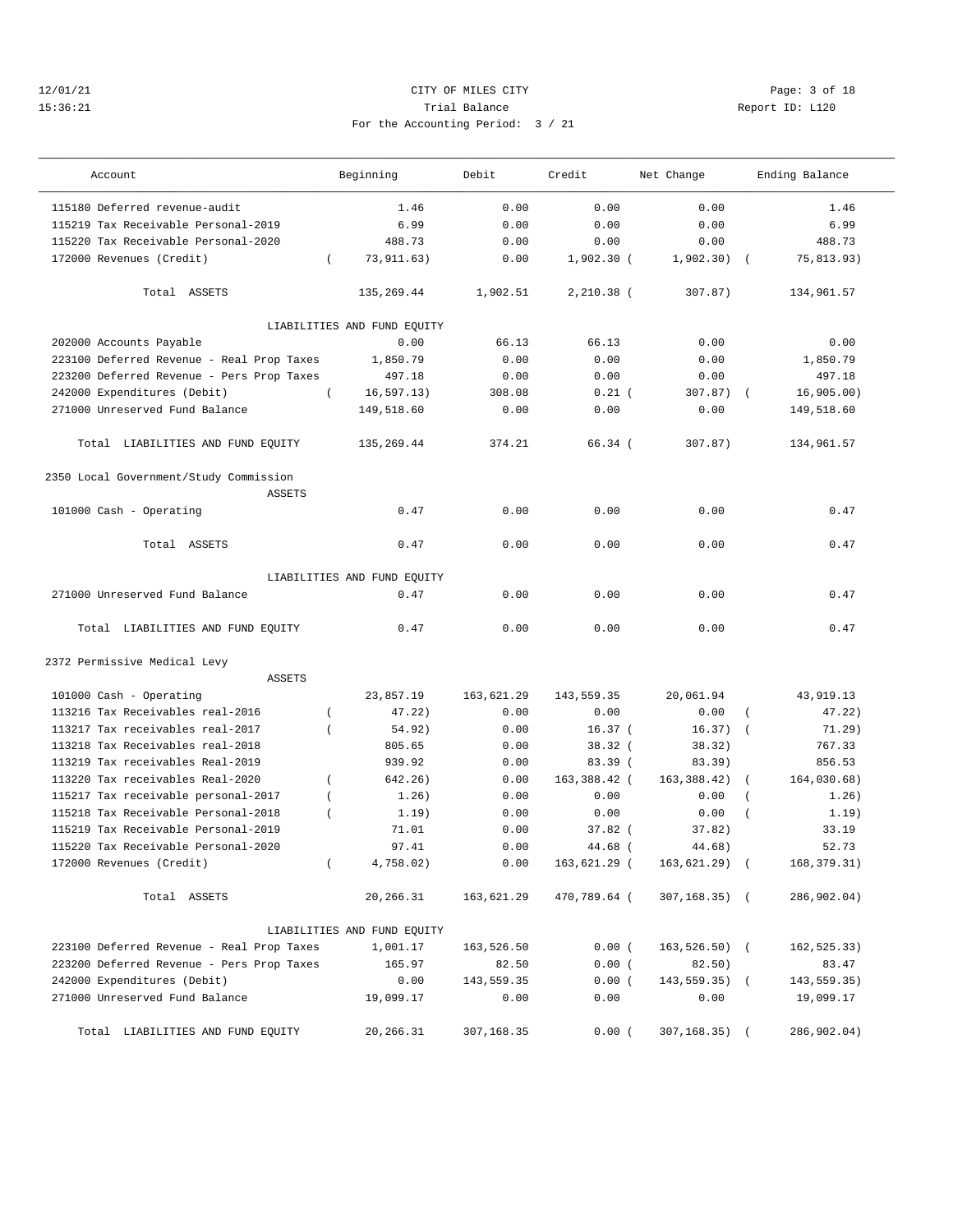#### 12/01/21 CITY OF MILES CITY Page: 3 of 18 15:36:21 Trial Balance Report ID: L120 For the Accounting Period: 3 / 21

| Account                                   | Beginning                   | Debit      | Credit       | Net Change      | Ending Balance            |
|-------------------------------------------|-----------------------------|------------|--------------|-----------------|---------------------------|
| 115180 Deferred revenue-audit             | 1.46                        | 0.00       | 0.00         | 0.00            | 1.46                      |
| 115219 Tax Receivable Personal-2019       | 6.99                        | 0.00       | 0.00         | 0.00            | 6.99                      |
| 115220 Tax Receivable Personal-2020       | 488.73                      | 0.00       | 0.00         | 0.00            | 488.73                    |
| 172000 Revenues (Credit)                  | 73,911.63)<br>$\left($      | 0.00       | $1,902.30$ ( | 1,902.30)       | 75,813.93)                |
| Total ASSETS                              | 135,269.44                  | 1,902.51   | $2,210.38$ ( | 307.87)         | 134,961.57                |
|                                           | LIABILITIES AND FUND EQUITY |            |              |                 |                           |
| 202000 Accounts Payable                   | 0.00                        | 66.13      | 66.13        | 0.00            | 0.00                      |
| 223100 Deferred Revenue - Real Prop Taxes | 1,850.79                    | 0.00       | 0.00         | 0.00            | 1,850.79                  |
| 223200 Deferred Revenue - Pers Prop Taxes | 497.18                      | 0.00       | 0.00         | 0.00            | 497.18                    |
| 242000 Expenditures (Debit)               | 16, 597.13)<br>$\left($     | 308.08     | $0.21$ (     | $307.87)$ (     | 16,905.00)                |
| 271000 Unreserved Fund Balance            | 149,518.60                  | 0.00       | 0.00         | 0.00            | 149,518.60                |
| Total LIABILITIES AND FUND EQUITY         | 135,269.44                  | 374.21     | 66.34 (      | 307.87)         | 134,961.57                |
| 2350 Local Government/Study Commission    |                             |            |              |                 |                           |
| <b>ASSETS</b>                             |                             |            |              |                 |                           |
| 101000 Cash - Operating                   | 0.47                        | 0.00       | 0.00         | 0.00            | 0.47                      |
| Total ASSETS                              | 0.47                        | 0.00       | 0.00         | 0.00            | 0.47                      |
|                                           | LIABILITIES AND FUND EQUITY |            |              |                 |                           |
| 271000 Unreserved Fund Balance            | 0.47                        | 0.00       | 0.00         | 0.00            | 0.47                      |
| Total LIABILITIES AND FUND EQUITY         | 0.47                        | 0.00       | 0.00         | 0.00            | 0.47                      |
| 2372 Permissive Medical Levy              |                             |            |              |                 |                           |
| <b>ASSETS</b>                             |                             |            |              |                 |                           |
| 101000 Cash - Operating                   | 23,857.19                   | 163,621.29 | 143,559.35   | 20,061.94       | 43,919.13                 |
| 113216 Tax Receivables real-2016          | 47.22)<br>$\overline{(\ }$  | 0.00       | 0.00         | 0.00            | 47.22)<br>$\left($        |
| 113217 Tax receivables real-2017          | 54.92)<br>$\left($          | 0.00       | $16.37$ (    | $16.37)$ (      | 71.29)                    |
| 113218 Tax Receivables real-2018          | 805.65                      | 0.00       | 38.32(       | 38.32)          | 767.33                    |
| 113219 Tax receivables Real-2019          | 939.92                      | 0.00       | 83.39 (      | 83.39)          | 856.53                    |
| 113220 Tax receivables Real-2020          | 642.26)<br>$\left($         | 0.00       | 163,388.42 ( | 163, 388.42)    | 164,030.68)               |
| 115217 Tax receivable personal-2017       | 1.26)<br>$\overline{(\ }$   | 0.00       | 0.00         | 0.00            | 1.26)<br>$\left($         |
| 115218 Tax Receivable Personal-2018       | 1.19)                       | 0.00       | 0.00         | 0.00            | 1.19)<br>$\overline{(\ }$ |
| 115219 Tax Receivable Personal-2019       | 71.01                       | 0.00       | $37.82$ (    | 37.82)          | 33.19                     |
| 115220 Tax Receivable Personal-2020       | 97.41                       | 0.00       | 44.68 (      | 44.68)          | 52.73                     |
| 172000 Revenues (Credit)                  | 4,758.02)                   | 0.00       | 163,621.29 ( | 163,621.29) (   | 168, 379. 31)             |
| Total ASSETS                              | 20,266.31                   | 163,621.29 | 470,789.64 ( | $307, 168.35$ ( | 286,902.04)               |
|                                           | LIABILITIES AND FUND EQUITY |            |              |                 |                           |
| 223100 Deferred Revenue - Real Prop Taxes | 1,001.17                    | 163,526.50 | 0.00(        | $163,526.50$ (  | 162, 525.33)              |
| 223200 Deferred Revenue - Pers Prop Taxes | 165.97                      | 82.50      | 0.00(        | 82.50)          | 83.47                     |
| 242000 Expenditures (Debit)               | 0.00                        | 143,559.35 | 0.00(        | 143,559.35) (   | 143,559.35)               |
| 271000 Unreserved Fund Balance            | 19,099.17                   | 0.00       | 0.00         | 0.00            | 19,099.17                 |
|                                           |                             |            |              |                 |                           |
| Total LIABILITIES AND FUND EQUITY         | 20,266.31                   | 307,168.35 | 0.00(        | 307,168.35) (   | 286,902.04)               |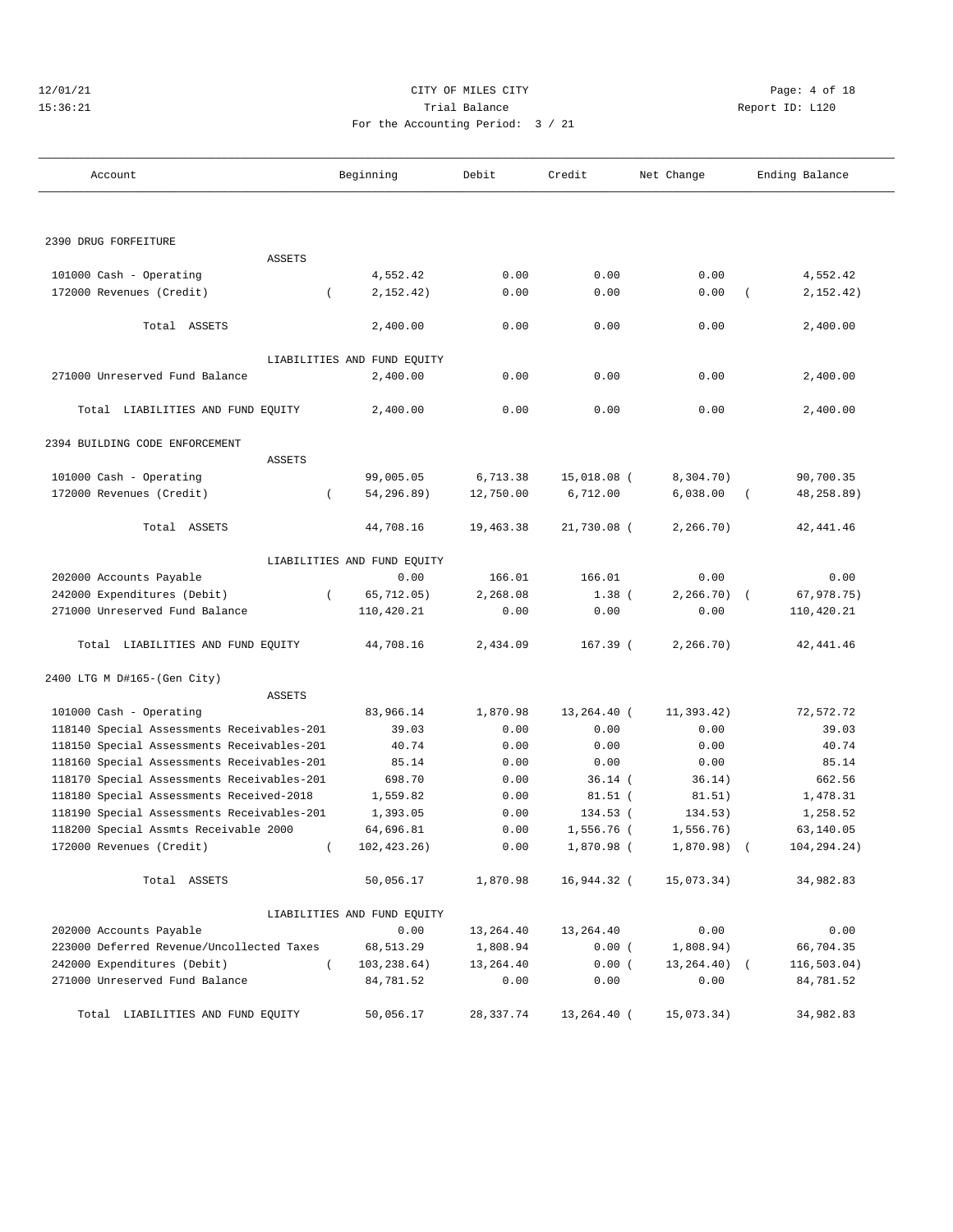#### 12/01/21 CITY OF MILES CITY Page: 4 of 18 15:36:21 Trial Balance Report ID: L120 For the Accounting Period: 3 / 21

| Account                                    | Beginning                   | Debit     | Credit      | Net Change      | Ending Balance         |  |  |
|--------------------------------------------|-----------------------------|-----------|-------------|-----------------|------------------------|--|--|
|                                            |                             |           |             |                 |                        |  |  |
| 2390 DRUG FORFEITURE                       |                             |           |             |                 |                        |  |  |
| <b>ASSETS</b>                              |                             |           |             |                 |                        |  |  |
| 101000 Cash - Operating                    | 4,552.42                    | 0.00      | 0.00        | 0.00            | 4,552.42               |  |  |
| 172000 Revenues (Credit)                   | 2,152.42)<br>$\left($       | 0.00      | 0.00        | 0.00            | 2,152.42)<br>$\left($  |  |  |
| Total ASSETS                               | 2,400.00                    | 0.00      | 0.00        | 0.00            | 2,400.00               |  |  |
|                                            | LIABILITIES AND FUND EQUITY |           |             |                 |                        |  |  |
| 271000 Unreserved Fund Balance             | 2,400.00                    | 0.00      | 0.00        | 0.00            | 2,400.00               |  |  |
| Total LIABILITIES AND FUND EQUITY          | 2,400.00                    | 0.00      | 0.00        | 0.00            | 2,400.00               |  |  |
| 2394 BUILDING CODE ENFORCEMENT             |                             |           |             |                 |                        |  |  |
| <b>ASSETS</b>                              |                             |           |             |                 |                        |  |  |
| 101000 Cash - Operating                    | 99,005.05                   | 6,713.38  | 15,018.08 ( | 8,304.70)       | 90,700.35              |  |  |
| 172000 Revenues (Credit)                   | 54,296.89)<br>$\left($      | 12,750.00 | 6,712.00    | 6,038.00        | 48,258.89)<br>$\left($ |  |  |
| Total ASSETS                               | 44,708.16                   | 19,463.38 | 21,730.08 ( | 2, 266.70)      | 42, 441.46             |  |  |
|                                            | LIABILITIES AND FUND EQUITY |           |             |                 |                        |  |  |
| 202000 Accounts Payable                    | 0.00                        | 166.01    | 166.01      | 0.00            | 0.00                   |  |  |
| 242000 Expenditures (Debit)                | 65,712.05)<br>$\left($      | 2,268.08  | $1.38$ (    | $2, 266, 70$ (  | 67,978.75)             |  |  |
| 271000 Unreserved Fund Balance             | 110,420.21                  | 0.00      | 0.00        | 0.00            | 110,420.21             |  |  |
| Total LIABILITIES AND FUND EQUITY          | 44,708.16                   | 2,434.09  | $167.39$ (  | 2, 266.70)      | 42, 441.46             |  |  |
| 2400 LTG M D#165-(Gen City)                |                             |           |             |                 |                        |  |  |
| ASSETS                                     |                             |           |             |                 |                        |  |  |
| 101000 Cash - Operating                    | 83,966.14                   | 1,870.98  | 13,264.40 ( | 11,393.42)      | 72,572.72              |  |  |
| 118140 Special Assessments Receivables-201 | 39.03                       | 0.00      | 0.00        | 0.00            | 39.03                  |  |  |
| 118150 Special Assessments Receivables-201 | 40.74                       | 0.00      | 0.00        | 0.00            | 40.74                  |  |  |
| 118160 Special Assessments Receivables-201 | 85.14                       | 0.00      | 0.00        | 0.00            | 85.14                  |  |  |
| 118170 Special Assessments Receivables-201 | 698.70                      | 0.00      | $36.14$ (   | 36.14)          | 662.56                 |  |  |
| 118180 Special Assessments Received-2018   | 1,559.82                    | 0.00      | $81.51$ (   | 81.51)          | 1,478.31               |  |  |
| 118190 Special Assessments Receivables-201 | 1,393.05                    | 0.00      | 134.53 (    | 134.53)         | 1,258.52               |  |  |
| 118200 Special Assmts Receivable 2000      | 64,696.81                   | 0.00      | 1,556.76 (  | 1,556.76)       | 63,140.05              |  |  |
| 172000 Revenues (Credit)                   | 102, 423. 26)<br>$\left($   | 0.00      | 1,870.98 (  | 1,870.98)       | 104,294.24)            |  |  |
| Total ASSETS                               | 50,056.17                   | 1,870.98  | 16,944.32 ( | 15,073.34)      | 34,982.83              |  |  |
|                                            | LIABILITIES AND FUND EQUITY |           |             |                 |                        |  |  |
| 202000 Accounts Payable                    | 0.00                        | 13,264.40 | 13,264.40   | 0.00            | 0.00                   |  |  |
| 223000 Deferred Revenue/Uncollected Taxes  | 68,513.29                   | 1,808.94  | 0.00(       | 1,808.94)       | 66,704.35              |  |  |
| 242000 Expenditures (Debit)                | $\sqrt{2}$<br>103,238.64)   | 13,264.40 | 0.00(       | $13, 264, 40$ ( | 116,503.04)            |  |  |
| 271000 Unreserved Fund Balance             | 84,781.52                   | 0.00      | 0.00        | 0.00            | 84,781.52              |  |  |
| Total LIABILITIES AND FUND EQUITY          | 50,056.17                   | 28,337.74 | 13,264.40 ( | 15,073.34)      | 34,982.83              |  |  |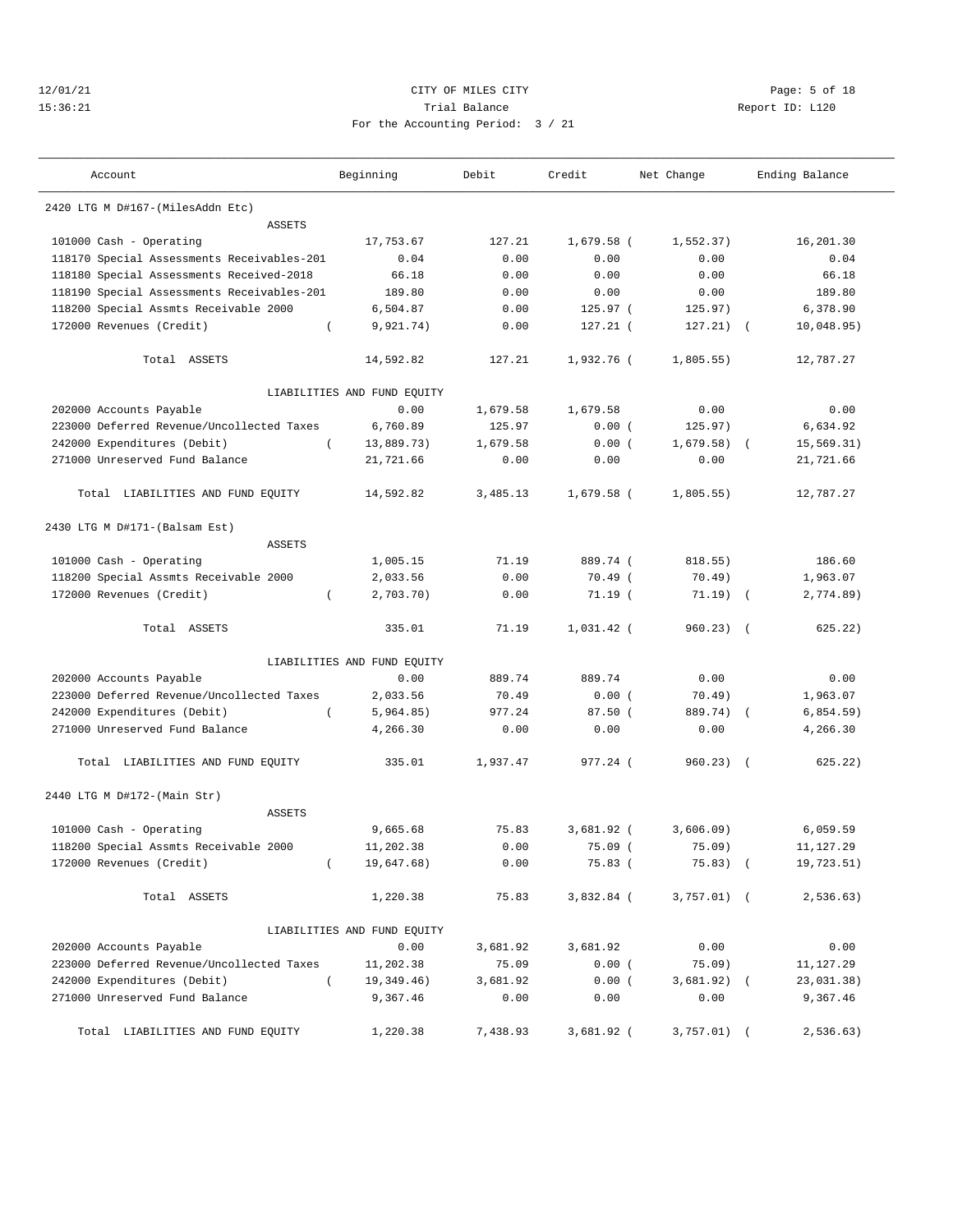# 12/01/21 CITY OF MILES CITY CHARGES CITY CONTROLLER Page: 5 of 18 15:36:21 Trial Balance Report ID: L120 For the Accounting Period: 3 / 21

| Account                          | Beginning | Debit  | Credit     | Net Change | Ending Balance |  |
|----------------------------------|-----------|--------|------------|------------|----------------|--|
| 2420 LTG M D#167-(MilesAddn Etc) |           |        |            |            |                |  |
|                                  | ASSETS    |        |            |            |                |  |
| 101000 Cash - Operating          | 17,753.67 | 127.21 | 1,679.58 ( | 1,552.37)  | 16,201.30      |  |

| ASSETS                                        |                             |          |              |                         |            |
|-----------------------------------------------|-----------------------------|----------|--------------|-------------------------|------------|
| 101000 Cash - Operating                       | 17,753.67                   | 127.21   | $1,679.58$ ( | 1,552.37)               | 16,201.30  |
| 118170 Special Assessments Receivables-201    | 0.04                        | 0.00     | 0.00         | 0.00                    | 0.04       |
| 118180 Special Assessments Received-2018      | 66.18                       | 0.00     | 0.00         | 0.00                    | 66.18      |
| 118190 Special Assessments Receivables-201    | 189.80                      | 0.00     | 0.00         | 0.00                    | 189.80     |
| 118200 Special Assmts Receivable 2000         | 6,504.87                    | 0.00     | 125.97 (     | 125.97)                 | 6,378.90   |
| 172000 Revenues (Credit)                      | 9,921.74)                   | 0.00     | $127.21$ (   | 127.21)<br>$\sqrt{ }$   | 10,048.95) |
| Total ASSETS                                  | 14,592.82                   | 127.21   | 1,932.76 (   | 1,805.55)               | 12,787.27  |
|                                               | LIABILITIES AND FUND EQUITY |          |              |                         |            |
| 202000 Accounts Payable                       | 0.00                        | 1,679.58 | 1,679.58     | 0.00                    | 0.00       |
| 223000 Deferred Revenue/Uncollected Taxes     | 6,760.89                    | 125.97   | 0.00(        | 125.97)                 | 6,634.92   |
| 242000 Expenditures (Debit)<br>$\left($       | 13,889.73)                  | 1,679.58 | 0.00(        | 1,679.58)               | 15,569.31) |
| 271000 Unreserved Fund Balance                | 21,721.66                   | 0.00     | 0.00         | 0.00                    | 21,721.66  |
| Total LIABILITIES AND FUND EQUITY             | 14,592.82                   | 3,485.13 | $1,679.58$ ( | 1,805.55)               | 12,787.27  |
| 2430 LTG M D#171-(Balsam Est)                 |                             |          |              |                         |            |
| <b>ASSETS</b>                                 |                             |          |              |                         |            |
| 101000 Cash - Operating                       | 1,005.15                    | 71.19    | 889.74 (     | 818.55)                 | 186.60     |
| 118200 Special Assmts Receivable 2000         | 2,033.56                    | 0.00     | $70.49$ (    | 70.49)                  | 1,963.07   |
| 172000 Revenues (Credit)                      | 2,703.70)                   | 0.00     | 71.19(       | 71.19)<br>$\sqrt{ }$    | 2,774.89)  |
| Total ASSETS                                  | 335.01                      | 71.19    | 1,031.42 (   | $960.23$ (              | 625.22)    |
|                                               | LIABILITIES AND FUND EQUITY |          |              |                         |            |
| 202000 Accounts Payable                       | 0.00                        | 889.74   | 889.74       | 0.00                    | 0.00       |
| 223000 Deferred Revenue/Uncollected Taxes     | 2,033.56                    | 70.49    | 0.00(        | 70.49)                  | 1,963.07   |
| 242000 Expenditures (Debit)<br>$\left($       | 5,964.85)                   | 977.24   | 87.50(       | 889.74)<br>$\sqrt{ }$   | 6,854.59)  |
| 271000 Unreserved Fund Balance                | 4,266.30                    | 0.00     | 0.00         | 0.00                    | 4,266.30   |
| Total LIABILITIES AND FUND EQUITY             | 335.01                      | 1,937.47 | 977.24 (     | 960.23)<br>$\sqrt{2}$   | 625.22)    |
| 2440 LTG M D#172-(Main Str)                   |                             |          |              |                         |            |
| ASSETS                                        |                             |          |              |                         |            |
| 101000 Cash - Operating                       | 9,665.68                    | 75.83    | $3,681.92$ ( | 3,606.09                | 6,059.59   |
| 118200 Special Assmts Receivable 2000         | 11,202.38                   | 0.00     | 75.09 (      | 75.09)                  | 11, 127.29 |
| 172000 Revenues (Credit)                      | 19,647.68)                  | 0.00     | 75.83(       | 75.83)<br>$\sqrt{ }$    | 19,723.51) |
| Total ASSETS                                  | 1,220.38                    | 75.83    | 3,832.84 (   | 3,757.01)<br>$\sqrt{ }$ | 2,536.63)  |
|                                               | LIABILITIES AND FUND EQUITY |          |              |                         |            |
| 202000 Accounts Payable                       | 0.00                        | 3,681.92 | 3,681.92     | 0.00                    | 0.00       |
| 223000 Deferred Revenue/Uncollected Taxes     | 11,202.38                   | 75.09    | 0.00(        | 75.09)                  | 11,127.29  |
| 242000 Expenditures (Debit)<br>$\overline{ }$ | 19,349.46)                  | 3,681.92 | 0.00(        | 3,681.92)<br>$\left($   | 23,031.38) |
| 271000 Unreserved Fund Balance                | 9,367.46                    | 0.00     | 0.00         | 0.00                    | 9,367.46   |
| Total LIABILITIES AND FUND EQUITY             | 1,220.38                    | 7,438.93 | 3,681.92 (   | 3,757.01)<br>$\left($   | 2, 536.63) |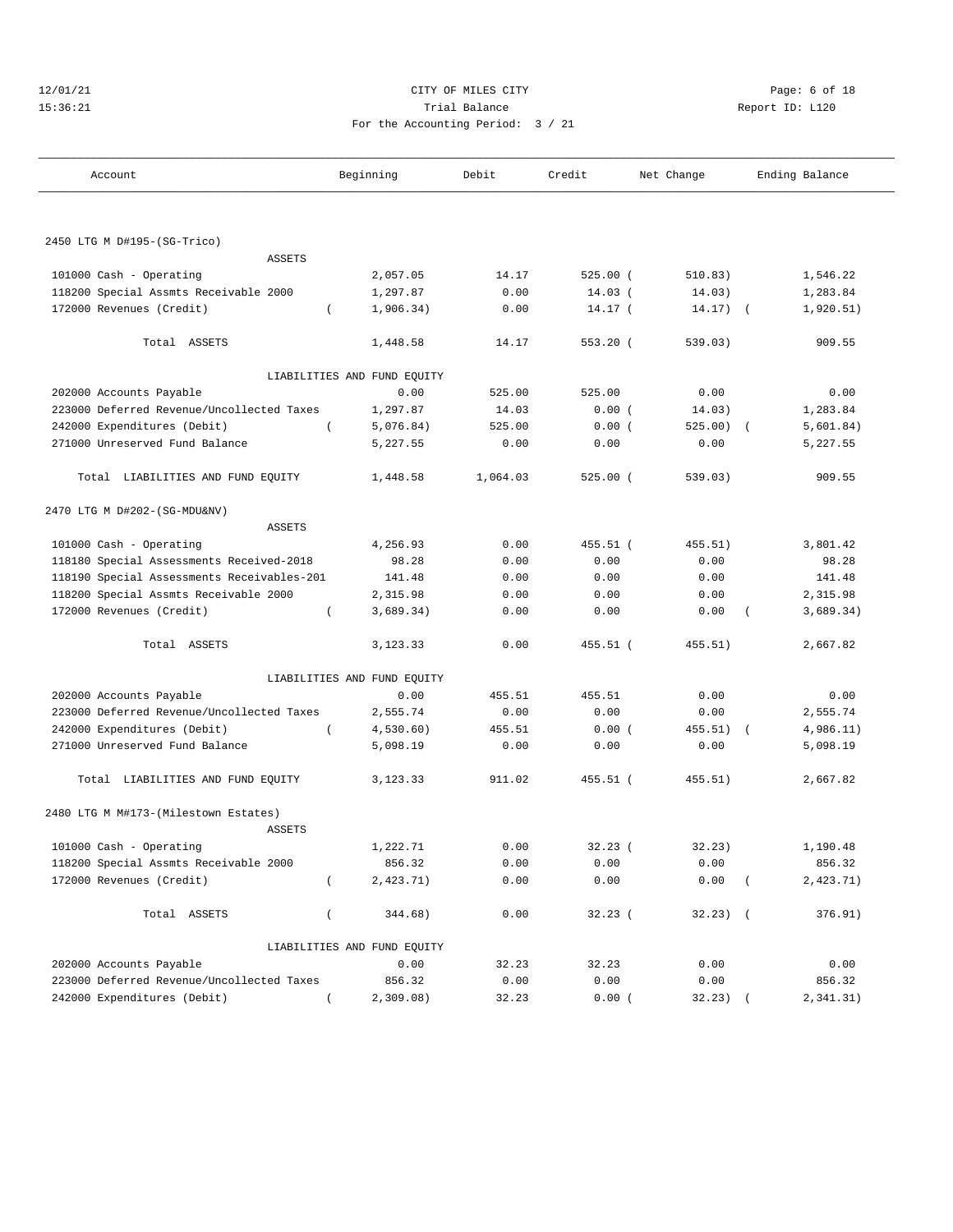#### 12/01/21 CITY OF MILES CITY Page: 6 of 18 15:36:21 Trial Balance Report ID: L120 For the Accounting Period: 3 / 21

| Account                                               | Beginning        |                             | Debit    | Credit     | Net Change | Ending Balance |           |  |
|-------------------------------------------------------|------------------|-----------------------------|----------|------------|------------|----------------|-----------|--|
|                                                       |                  |                             |          |            |            |                |           |  |
| 2450 LTG M D#195-(SG-Trico)                           |                  |                             |          |            |            |                |           |  |
| <b>ASSETS</b>                                         |                  |                             |          |            |            |                |           |  |
| 101000 Cash - Operating                               |                  | 2,057.05                    | 14.17    | $525.00$ ( | 510.83)    |                | 1,546.22  |  |
| 118200 Special Assmts Receivable 2000                 |                  | 1,297.87                    | 0.00     | $14.03$ (  | 14.03)     |                | 1,283.84  |  |
| 172000 Revenues (Credit)                              | $\left($         | 1,906.34)                   | 0.00     | 14.17 (    | 14.17)     | $\sqrt{2}$     | 1,920.51) |  |
| Total ASSETS                                          |                  | 1,448.58                    | 14.17    | $553.20$ ( | 539.03)    |                | 909.55    |  |
|                                                       |                  | LIABILITIES AND FUND EQUITY |          |            |            |                |           |  |
| 202000 Accounts Payable                               |                  | 0.00                        | 525.00   | 525.00     | 0.00       |                | 0.00      |  |
| 223000 Deferred Revenue/Uncollected Taxes             |                  | 1,297.87                    | 14.03    | 0.00(      | 14.03)     |                | 1,283.84  |  |
| 242000 Expenditures (Debit)                           |                  | 5,076.84)                   | 525.00   | 0.00(      | 525.00)    | $\sqrt{2}$     | 5,601.84) |  |
| 271000 Unreserved Fund Balance                        |                  | 5,227.55                    | 0.00     | 0.00       | 0.00       |                | 5,227.55  |  |
| Total LIABILITIES AND FUND EQUITY                     |                  | 1,448.58                    | 1,064.03 | $525.00$ ( | 539.03)    |                | 909.55    |  |
| 2470 LTG M D#202-(SG-MDU&NV)                          |                  |                             |          |            |            |                |           |  |
| <b>ASSETS</b>                                         |                  |                             |          |            |            |                |           |  |
| 101000 Cash - Operating                               |                  | 4,256.93                    | 0.00     | 455.51 (   | 455.51)    |                | 3,801.42  |  |
| 118180 Special Assessments Received-2018              |                  | 98.28                       | 0.00     | 0.00       | 0.00       |                | 98.28     |  |
| 118190 Special Assessments Receivables-201            |                  | 141.48                      | 0.00     | 0.00       | 0.00       |                | 141.48    |  |
| 118200 Special Assmts Receivable 2000                 |                  | 2,315.98                    | 0.00     | 0.00       | 0.00       |                | 2,315.98  |  |
| 172000 Revenues (Credit)                              | $\left($         | 3,689.34)                   | 0.00     | 0.00       | 0.00       |                | 3,689.34) |  |
| Total ASSETS                                          |                  | 3,123.33                    | 0.00     | 455.51 (   | 455.51)    |                | 2,667.82  |  |
|                                                       |                  | LIABILITIES AND FUND EQUITY |          |            |            |                |           |  |
| 202000 Accounts Payable                               |                  | 0.00                        | 455.51   | 455.51     | 0.00       |                | 0.00      |  |
| 223000 Deferred Revenue/Uncollected Taxes             |                  | 2,555.74                    | 0.00     | 0.00       | 0.00       |                | 2,555.74  |  |
| 242000 Expenditures (Debit)                           | $\left($         | 4,530.60)                   | 455.51   | 0.00(      | 455.51)    |                | 4,986.11) |  |
| 271000 Unreserved Fund Balance                        |                  | 5,098.19                    | 0.00     | 0.00       | 0.00       |                | 5,098.19  |  |
| Total LIABILITIES AND FUND EQUITY                     |                  | 3,123.33                    | 911.02   | 455.51 (   | 455.51)    |                | 2,667.82  |  |
| 2480 LTG M M#173-(Milestown Estates)<br><b>ASSETS</b> |                  |                             |          |            |            |                |           |  |
|                                                       |                  |                             | 0.00     | $32.23$ (  | 32.23)     |                | 1,190.48  |  |
| 101000 Cash - Operating                               |                  | 1,222.71                    |          |            |            |                |           |  |
| 118200 Special Assmts Receivable 2000                 |                  | 856.32                      | 0.00     | 0.00       | 0.00       |                | 856.32    |  |
| 172000 Revenues (Credit)                              | $\overline{(\ }$ | 2,423.71)                   | 0.00     | 0.00       | 0.00       |                | 2,423.71) |  |
| Total ASSETS                                          | $\overline{(\ }$ | 344.68)                     | 0.00     | 32.23(     | $32.23)$ ( |                | 376.91)   |  |
|                                                       |                  | LIABILITIES AND FUND EQUITY |          |            |            |                |           |  |
| 202000 Accounts Payable                               |                  | 0.00                        | 32.23    | 32.23      | 0.00       |                | 0.00      |  |
| 223000 Deferred Revenue/Uncollected Taxes             |                  | 856.32                      | 0.00     | 0.00       | 0.00       |                | 856.32    |  |
| 242000 Expenditures (Debit)                           |                  | 2,309.08)                   | 32.23    | 0.00(      | 32.23)     |                | 2,341.31) |  |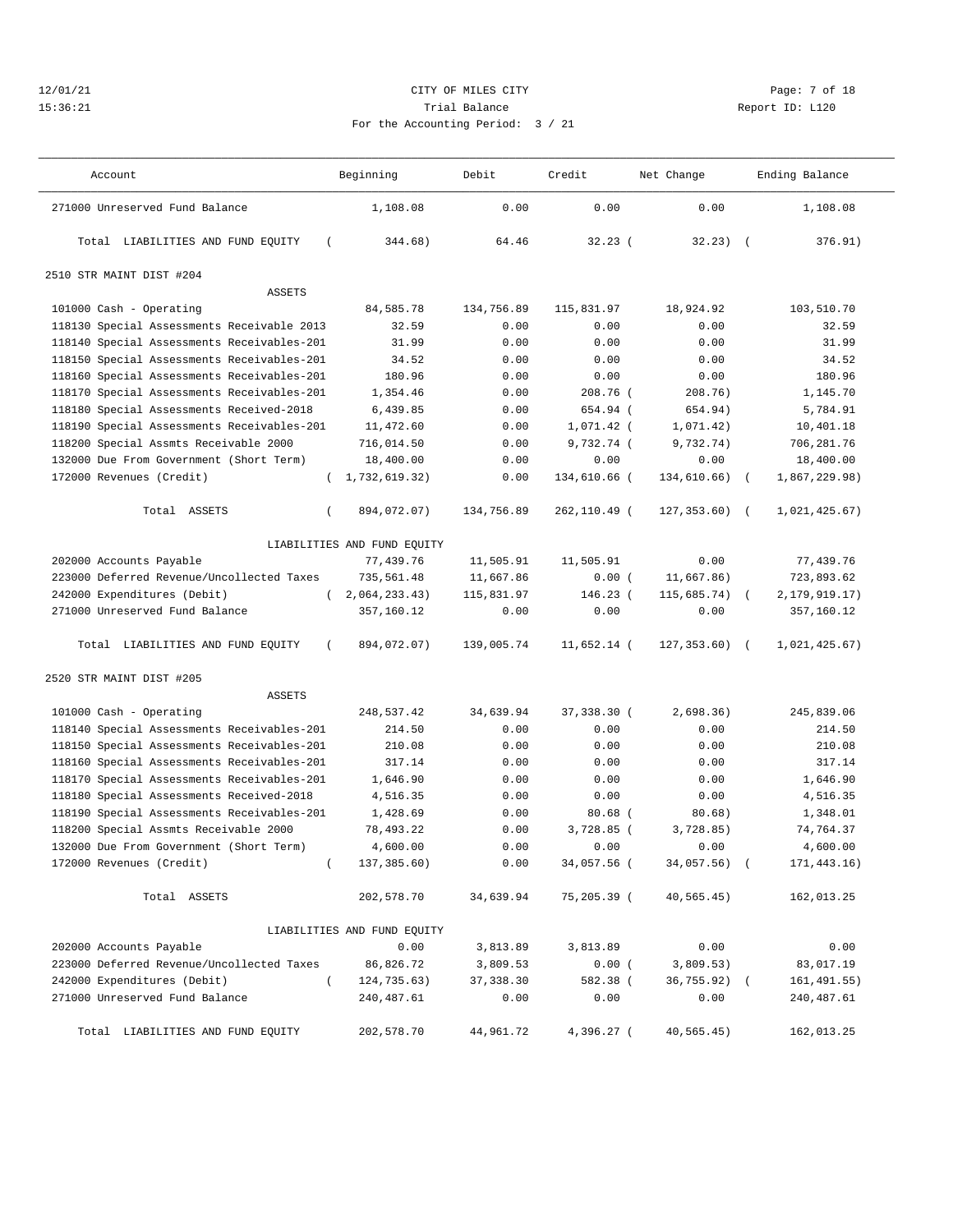# $12/01/21$  Page: 7 of 18<br>15:36:21 Page: 7 of 18<br>15:36:21 Trial Balance Page: 7 of 18 15:36:21 Trial Balance Report ID: L120 For the Accounting Period: 3 / 21

| Account                                       | Beginning                   | Debit      | Credit        | Net Change      | Ending Balance              |  |
|-----------------------------------------------|-----------------------------|------------|---------------|-----------------|-----------------------------|--|
| 271000 Unreserved Fund Balance                | 1,108.08                    | 0.00       | 0.00          | 0.00            | 1,108.08                    |  |
| Total LIABILITIES AND FUND EQUITY<br>$\left($ | 344.68)                     | 64.46      | 32.23(        | $32.23)$ (      | 376.91)                     |  |
| 2510 STR MAINT DIST #204                      |                             |            |               |                 |                             |  |
| ASSETS                                        |                             |            |               |                 |                             |  |
| 101000 Cash - Operating                       | 84,585.78                   | 134,756.89 | 115,831.97    | 18,924.92       | 103,510.70                  |  |
| 118130 Special Assessments Receivable 2013    | 32.59                       | 0.00       | 0.00          | 0.00            | 32.59                       |  |
| 118140 Special Assessments Receivables-201    | 31.99                       | 0.00       | 0.00          | 0.00            | 31.99                       |  |
| 118150 Special Assessments Receivables-201    | 34.52                       | 0.00       | 0.00          | 0.00            | 34.52                       |  |
| 118160 Special Assessments Receivables-201    | 180.96                      | 0.00       | 0.00          | 0.00            | 180.96                      |  |
| 118170 Special Assessments Receivables-201    | 1,354.46                    | 0.00       | 208.76 (      | 208.76)         | 1,145.70                    |  |
| 118180 Special Assessments Received-2018      | 6,439.85                    | 0.00       | 654.94 (      | 654.94)         | 5,784.91                    |  |
| 118190 Special Assessments Receivables-201    | 11,472.60                   | 0.00       | $1,071.42$ (  | 1,071.42)       | 10,401.18                   |  |
| 118200 Special Assmts Receivable 2000         | 716,014.50                  | 0.00       | 9,732.74 (    | 9,732.74)       | 706,281.76                  |  |
| 132000 Due From Government (Short Term)       | 18,400.00                   | 0.00       | 0.00          | 0.00            | 18,400.00                   |  |
| 172000 Revenues (Credit)                      | (1, 732, 619.32)            | 0.00       | 134,610.66 (  | 134,610.66)     | 1,867,229.98)<br>$\sqrt{2}$ |  |
| Total ASSETS<br>$\left($                      | 894,072.07)                 | 134,756.89 | 262,110.49 (  | $127, 353.60$ ( | 1,021,425.67)               |  |
|                                               | LIABILITIES AND FUND EQUITY |            |               |                 |                             |  |
| 202000 Accounts Payable                       | 77,439.76                   | 11,505.91  | 11,505.91     | 0.00            | 77,439.76                   |  |
| 223000 Deferred Revenue/Uncollected Taxes     | 735,561.48                  | 11,667.86  | 0.00(         | 11,667.86)      | 723,893.62                  |  |
| 242000 Expenditures (Debit)                   | (2,064,233.43)              | 115,831.97 | $146.23$ (    | 115,685.74)     | 2, 179, 919. 17)            |  |
| 271000 Unreserved Fund Balance                | 357,160.12                  | 0.00       | 0.00          | 0.00            | 357,160.12                  |  |
| Total LIABILITIES AND FUND EQUITY<br>$\left($ | 894,072.07)                 | 139,005.74 | $11,652.14$ ( | $127, 353.60$ ( | 1,021,425.67)               |  |
| 2520 STR MAINT DIST #205                      |                             |            |               |                 |                             |  |
| <b>ASSETS</b>                                 |                             |            |               |                 |                             |  |
| 101000 Cash - Operating                       | 248,537.42                  | 34,639.94  | 37,338.30 (   | 2,698.36)       | 245,839.06                  |  |
| 118140 Special Assessments Receivables-201    | 214.50                      | 0.00       | 0.00          | 0.00            | 214.50                      |  |
| 118150 Special Assessments Receivables-201    | 210.08                      | 0.00       | 0.00          | 0.00            | 210.08                      |  |
| 118160 Special Assessments Receivables-201    | 317.14                      | 0.00       | 0.00          | 0.00            | 317.14                      |  |
| 118170 Special Assessments Receivables-201    | 1,646.90                    | 0.00       | 0.00          | 0.00            | 1,646.90                    |  |
| 118180 Special Assessments Received-2018      | 4,516.35                    | 0.00       | 0.00          | 0.00            | 4,516.35                    |  |
| 118190 Special Assessments Receivables-201    | 1,428.69                    | 0.00       | $80.68$ (     | 80.68)          | 1,348.01                    |  |
| 118200 Special Assmts Receivable 2000         | 78,493.22                   | 0.00       | $3,728.85$ (  | 3,728.85)       | 74,764.37                   |  |
| 132000 Due From Government (Short Term)       | 4,600.00                    | 0.00       | 0.00          | 0.00            | 4,600.00                    |  |
| 172000 Revenues (Credit)<br>$\left($          | 137,385.60)                 | 0.00       | 34,057.56 (   | 34,057.56)      | 171,443.16)                 |  |
| Total ASSETS                                  | 202,578.70                  | 34,639.94  | 75,205.39 (   | 40, 565.45)     | 162,013.25                  |  |
|                                               | LIABILITIES AND FUND EQUITY |            |               |                 |                             |  |
| 202000 Accounts Payable                       | 0.00                        | 3,813.89   | 3,813.89      | 0.00            | 0.00                        |  |
| 223000 Deferred Revenue/Uncollected Taxes     | 86,826.72                   | 3,809.53   | 0.00(         | 3,809.53)       | 83,017.19                   |  |
| 242000 Expenditures (Debit)<br>$\left($       | 124,735.63)                 | 37, 338.30 | 582.38 (      | 36,755.92) (    | 161,491.55)                 |  |
| 271000 Unreserved Fund Balance                | 240,487.61                  | 0.00       | 0.00          | 0.00            | 240,487.61                  |  |
| Total LIABILITIES AND FUND EQUITY             | 202,578.70                  | 44,961.72  | 4,396.27 (    | 40, 565.45)     | 162,013.25                  |  |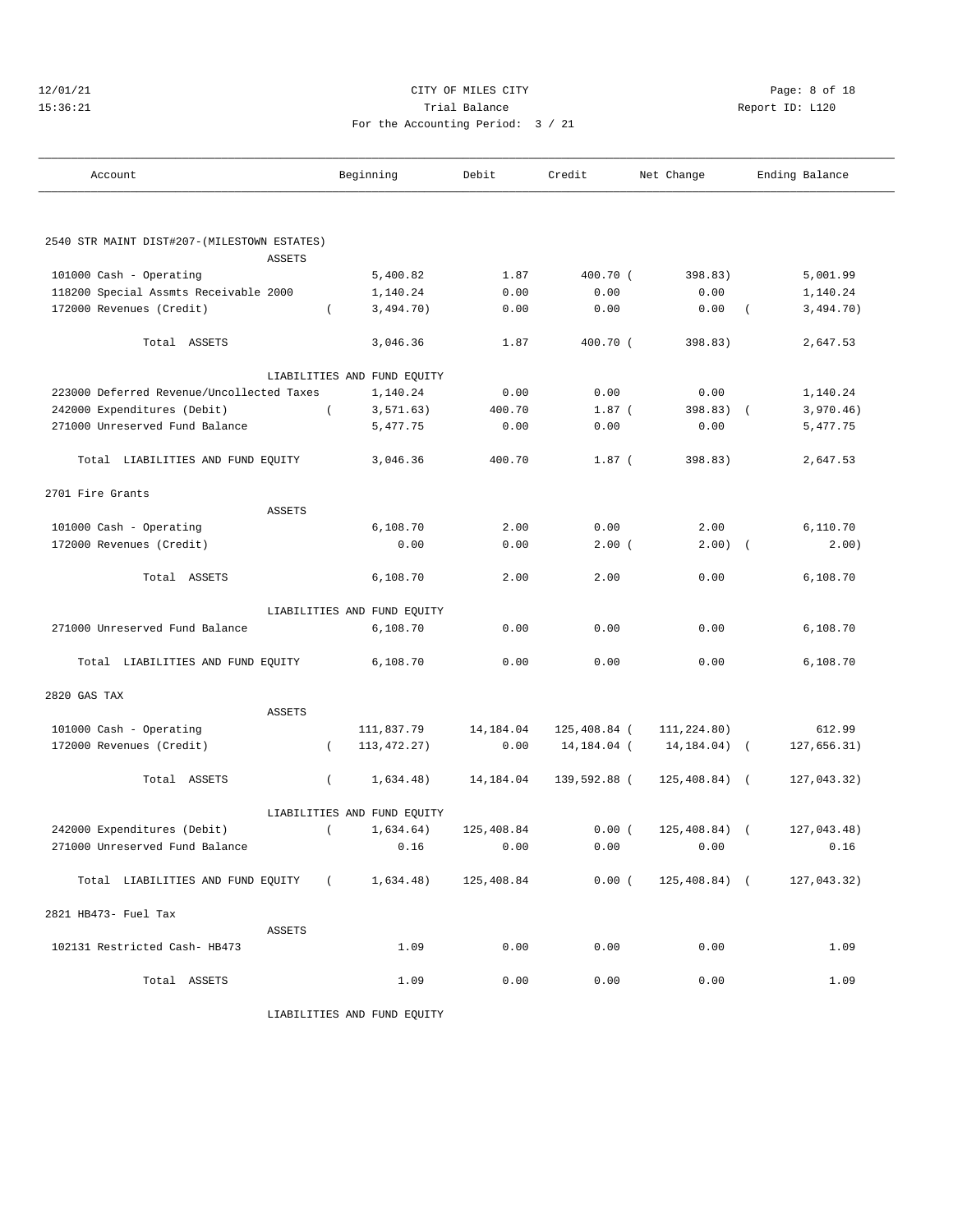#### 12/01/21 CITY OF MILES CITY Page: 8 of 18 15:36:21 Trial Balance Report ID: L120 For the Accounting Period: 3 / 21

———————————————————————————————————————————————————————————————————————————————————————————————————————————————————————————————————

| Account                                      |               | Beginning                   | Debit      | Credit       | Net Change                |            | Ending Balance |
|----------------------------------------------|---------------|-----------------------------|------------|--------------|---------------------------|------------|----------------|
|                                              |               |                             |            |              |                           |            |                |
|                                              |               |                             |            |              |                           |            |                |
| 2540 STR MAINT DIST#207-(MILESTOWN ESTATES)  |               |                             |            |              |                           |            |                |
|                                              | <b>ASSETS</b> |                             |            |              |                           |            |                |
| 101000 Cash - Operating                      |               | 5,400.82                    | 1.87       | 400.70 (     | 398.83)                   |            | 5,001.99       |
| 118200 Special Assmts Receivable 2000        |               | 1,140.24                    | 0.00       | 0.00         | 0.00                      |            | 1,140.24       |
| 172000 Revenues (Credit)                     | $\left($      | 3,494.70)                   | 0.00       | 0.00         | 0.00                      | $\left($   | 3,494.70)      |
| Total ASSETS                                 |               | 3,046.36                    | 1.87       | 400.70 (     | 398.83)                   |            | 2,647.53       |
|                                              |               | LIABILITIES AND FUND EQUITY |            |              |                           |            |                |
| 223000 Deferred Revenue/Uncollected Taxes    |               | 1,140.24                    | 0.00       | 0.00         | 0.00                      |            | 1,140.24       |
| 242000 Expenditures (Debit)                  | $\left($      | 3, 571.63)                  | 400.70     | $1.87$ (     | 398.83) (                 |            | 3,970.46)      |
| 271000 Unreserved Fund Balance               |               | 5,477.75                    | 0.00       | 0.00         | 0.00                      |            | 5,477.75       |
| Total LIABILITIES AND FUND EQUITY            |               | 3,046.36                    | 400.70     | $1.87$ (     | 398.83)                   |            | 2,647.53       |
| 2701 Fire Grants                             |               |                             |            |              |                           |            |                |
|                                              | <b>ASSETS</b> |                             |            |              |                           |            |                |
| 101000 Cash - Operating                      |               | 6,108.70                    | 2.00       | 0.00         | 2.00                      |            | 6,110.70       |
| 172000 Revenues (Credit)                     |               | 0.00                        | 0.00       | 2.00(        | $2.00)$ (                 |            | 2.00)          |
|                                              |               |                             |            |              |                           |            |                |
| Total ASSETS                                 |               | 6,108.70                    | 2.00       | 2.00         | 0.00                      |            | 6,108.70       |
|                                              |               | LIABILITIES AND FUND EQUITY |            |              |                           |            |                |
| 271000 Unreserved Fund Balance               |               | 6,108.70                    | 0.00       | 0.00         | 0.00                      |            | 6,108.70       |
| Total LIABILITIES AND FUND EQUITY            |               | 6,108.70                    | 0.00       | 0.00         | 0.00                      |            | 6,108.70       |
| 2820 GAS TAX                                 |               |                             |            |              |                           |            |                |
|                                              | <b>ASSETS</b> |                             |            |              |                           |            |                |
| 101000 Cash - Operating                      |               | 111,837.79                  | 14,184.04  | 125,408.84 ( | 111,224.80)               |            | 612.99         |
| 172000 Revenues (Credit)                     | $\left($      | 113, 472. 27)               | 0.00       | 14,184.04 (  | 14,184.04)                | $\sqrt{2}$ | 127,656.31)    |
| Total ASSETS                                 | $\left($      | 1,634.48)                   | 14,184.04  | 139,592.88 ( | $125,408.84)$ (           |            | 127,043.32)    |
|                                              |               | LIABILITIES AND FUND EQUITY |            |              |                           |            |                |
| 242000 Expenditures (Debit)                  | $\left($      | 1,634.64)                   | 125,408.84 | 0.00(        | $125,408.84)$ (           |            | 127,043.48)    |
| 271000 Unreserved Fund Balance               |               | 0.16                        | 0.00       | 0.00         | 0.00                      |            | 0.16           |
| Total LIABILITIES AND FUND EQUITY (1,634.48) |               |                             | 125,408.84 |              | $0.00$ ( $125,408.84$ ) ( |            | 127,043.32)    |
| 2821 HB473- Fuel Tax                         |               |                             |            |              |                           |            |                |
|                                              | ASSETS        |                             |            |              |                           |            |                |
| 102131 Restricted Cash- HB473                |               | 1.09                        | 0.00       | 0.00         | 0.00                      |            | 1.09           |
| Total ASSETS                                 |               | 1.09                        | 0.00       | 0.00         | 0.00                      |            | 1.09           |
|                                              |               |                             |            |              |                           |            |                |

LIABILITIES AND FUND EQUITY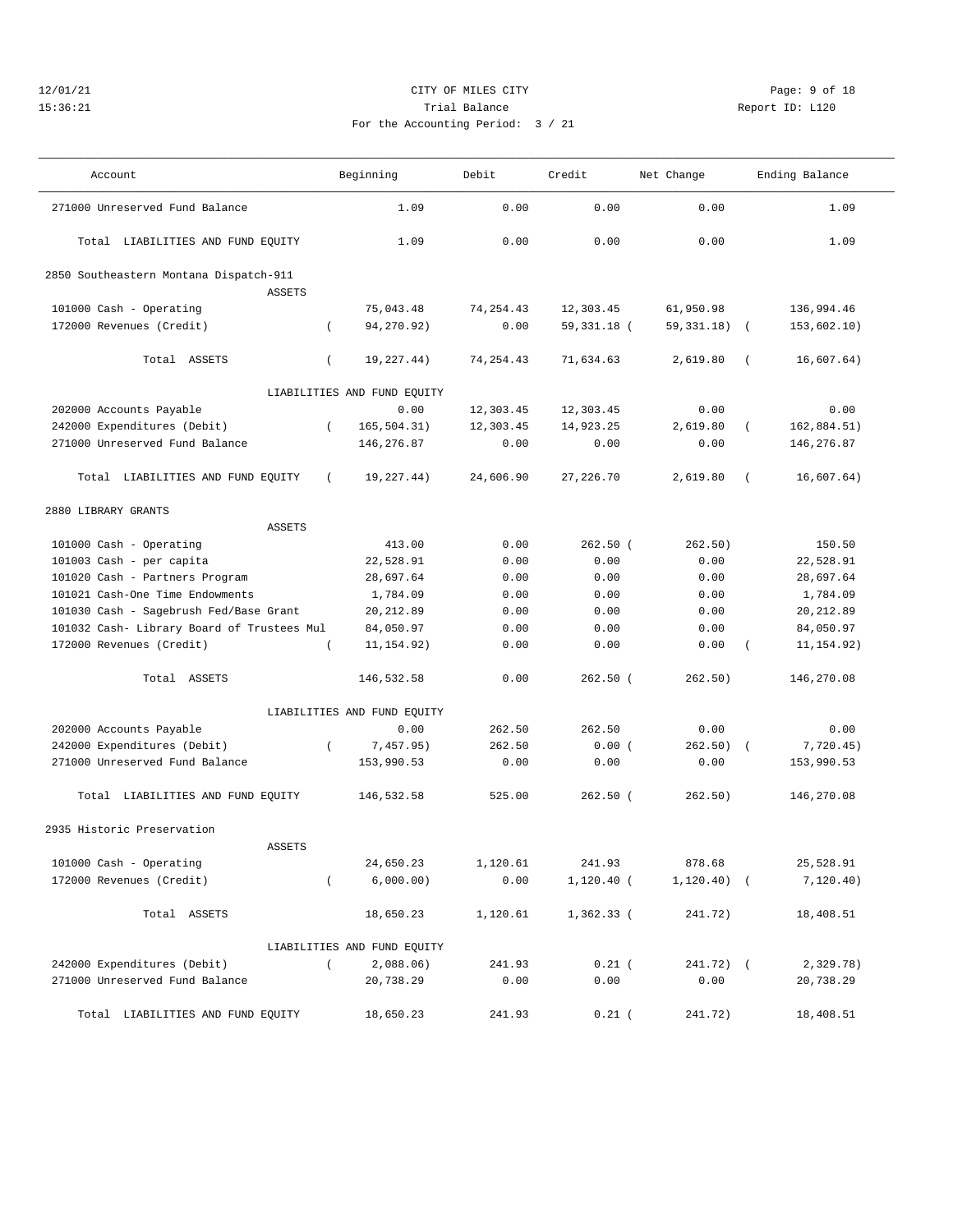# 12/01/21 CITY OF MILES CITY Page: 9 of 18 15:36:21 Trial Balance Report ID: L120 For the Accounting Period: 3 / 21

| Account | Beginning | Debit | Credit | Net Change | Ending Balance |
|---------|-----------|-------|--------|------------|----------------|

| 271000 Unreserved Fund Balance             |                  | 1.09                        | 0.00        | 0.00         | 0.00                     | 1.09        |
|--------------------------------------------|------------------|-----------------------------|-------------|--------------|--------------------------|-------------|
| Total LIABILITIES AND FUND EQUITY          |                  | 1.09                        | 0.00        | 0.00         | 0.00                     | 1.09        |
| 2850 Southeastern Montana Dispatch-911     |                  |                             |             |              |                          |             |
| <b>ASSETS</b>                              |                  |                             |             |              |                          |             |
| 101000 Cash - Operating                    |                  | 75,043.48                   | 74, 254.43  | 12,303.45    | 61,950.98                | 136,994.46  |
| 172000 Revenues (Credit)                   | $\left($         | 94,270.92)                  | 0.00        | 59,331.18 (  | $59,331.18$ (            | 153,602.10) |
| Total ASSETS                               | $\left($         | 19,227.44)                  | 74, 254, 43 | 71,634.63    | 2,619.80<br>$\left($     | 16,607.64)  |
|                                            |                  | LIABILITIES AND FUND EQUITY |             |              |                          |             |
| 202000 Accounts Payable                    |                  | 0.00                        | 12,303.45   | 12,303.45    | 0.00                     | 0.00        |
| 242000 Expenditures (Debit)                | $\left($         | 165, 504.31)                | 12,303.45   | 14,923.25    | 2,619.80<br>$\left($     | 162,884.51) |
| 271000 Unreserved Fund Balance             |                  | 146, 276.87                 | 0.00        | 0.00         | 0.00                     | 146,276.87  |
| Total LIABILITIES AND FUND EQUITY          | $\left($         | 19,227.44)                  | 24,606.90   | 27, 226.70   | 2,619.80<br>$\left($     | 16,607.64)  |
| 2880 LIBRARY GRANTS                        |                  |                             |             |              |                          |             |
| <b>ASSETS</b>                              |                  |                             |             |              |                          |             |
| 101000 Cash - Operating                    |                  | 413.00                      | 0.00        | $262.50$ (   | 262.50)                  | 150.50      |
| 101003 Cash - per capita                   |                  | 22,528.91                   | 0.00        | 0.00         | 0.00                     | 22,528.91   |
| 101020 Cash - Partners Program             |                  | 28,697.64                   | 0.00        | 0.00         | 0.00                     | 28,697.64   |
| 101021 Cash-One Time Endowments            |                  | 1,784.09                    | 0.00        | 0.00         | 0.00                     | 1,784.09    |
| 101030 Cash - Sagebrush Fed/Base Grant     |                  | 20, 212.89                  | 0.00        | 0.00         | 0.00                     | 20, 212.89  |
| 101032 Cash- Library Board of Trustees Mul |                  | 84,050.97                   | 0.00        | 0.00         | 0.00                     | 84,050.97   |
| 172000 Revenues (Credit)                   |                  | 11, 154.92)                 | 0.00        | 0.00         | 0.00<br>$\left($         | 11, 154.92) |
| Total ASSETS                               |                  | 146,532.58                  | 0.00        | $262.50$ (   | 262.50)                  | 146,270.08  |
|                                            |                  | LIABILITIES AND FUND EQUITY |             |              |                          |             |
| 202000 Accounts Payable                    |                  | 0.00                        | 262.50      | 262.50       | 0.00                     | 0.00        |
| 242000 Expenditures (Debit)                | $\left($         | 7,457.95)                   | 262.50      | 0.00(        | 262.50)<br>$\sqrt{ }$    | 7,720.45)   |
| 271000 Unreserved Fund Balance             |                  | 153,990.53                  | 0.00        | 0.00         | 0.00                     | 153,990.53  |
| Total LIABILITIES AND FUND EQUITY          |                  | 146,532.58                  | 525.00      | $262.50$ (   | 262.50)                  | 146,270.08  |
| 2935 Historic Preservation                 |                  |                             |             |              |                          |             |
| ASSETS                                     |                  |                             |             |              |                          |             |
| 101000 Cash - Operating                    |                  | 24,650.23                   | 1,120.61    | 241.93       | 878.68                   | 25,528.91   |
| 172000 Revenues (Credit)                   | $\left($         | 6,000.00)                   | 0.00        | $1,120.40$ ( | 1, 120.40)<br>$\sqrt{2}$ | 7, 120.40)  |
| Total ASSETS                               |                  | 18,650.23                   | 1,120.61    | 1,362.33 (   | 241.72)                  | 18,408.51   |
|                                            |                  | LIABILITIES AND FUND EQUITY |             |              |                          |             |
| 242000 Expenditures (Debit)                | $\overline{(\ }$ | $2,088.06$ )                | 241.93      | $0.21$ (     | 241.72) (                | 2,329.78)   |
| 271000 Unreserved Fund Balance             |                  | 20,738.29                   | 0.00        | 0.00         | 0.00                     | 20,738.29   |
| Total LIABILITIES AND FUND EQUITY          |                  | 18,650.23                   | 241.93      | $0.21$ (     | 241.72)                  | 18,408.51   |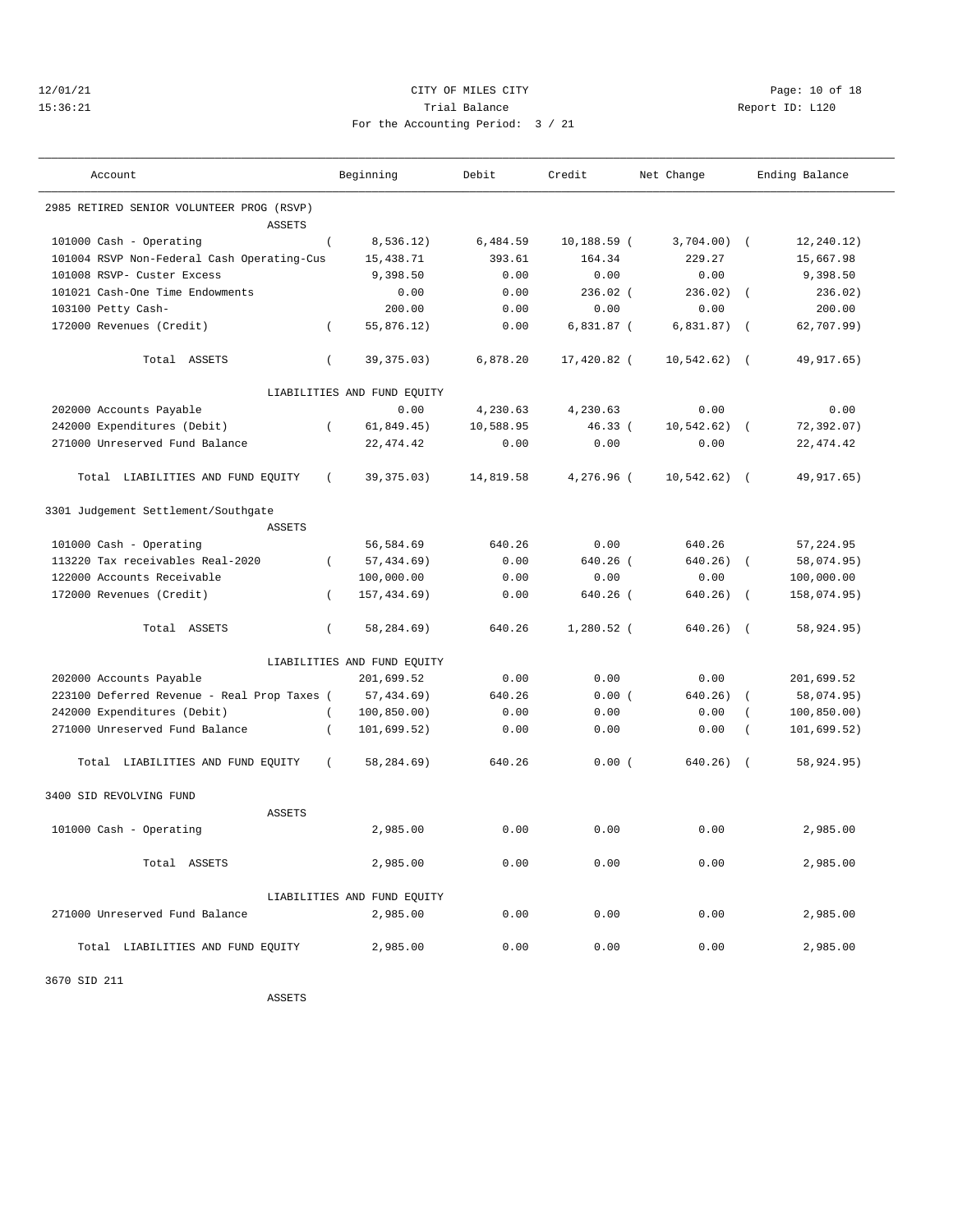#### 12/01/21 Page: 10 of 18 15:36:21 Trial Balance Report ID: L120 For the Accounting Period: 3 / 21

| Account                                              | Beginning                        | Debit     | Credit         | Net Change     | Ending Balance             |
|------------------------------------------------------|----------------------------------|-----------|----------------|----------------|----------------------------|
| 2985 RETIRED SENIOR VOLUNTEER PROG (RSVP)            |                                  |           |                |                |                            |
| <b>ASSETS</b>                                        |                                  |           |                |                |                            |
| 101000 Cash - Operating                              | 8,536.12)<br>$\left($            | 6,484.59  | $10, 188.59$ ( | $3,704.00$ (   | 12, 240.12)                |
| 101004 RSVP Non-Federal Cash Operating-Cus           | 15,438.71                        | 393.61    | 164.34         | 229.27         | 15,667.98                  |
| 101008 RSVP- Custer Excess                           | 9,398.50                         | 0.00      | 0.00           | 0.00           | 9,398.50                   |
| 101021 Cash-One Time Endowments                      | 0.00                             | 0.00      | $236.02$ (     | 236.02)        | 236.02)<br>$\sqrt{ }$      |
| 103100 Petty Cash-                                   | 200.00                           | 0.00      | 0.00           | 0.00           | 200.00                     |
| 172000 Revenues (Credit)                             | $\left($<br>55,876.12)           | 0.00      | $6,831.87$ (   | 6,831.87)      | 62,707.99)<br>$\sqrt{2}$   |
| Total ASSETS                                         | $\overline{ }$<br>39, 375.03)    | 6,878.20  | 17,420.82 (    | 10, 542.62)    | 49, 917. 65)<br>$\sqrt{ }$ |
|                                                      | LIABILITIES AND FUND EQUITY      |           |                |                |                            |
| 202000 Accounts Payable                              | 0.00                             | 4,230.63  | 4,230.63       | 0.00           | 0.00                       |
| 242000 Expenditures (Debit)                          | 61,849.45)<br>$\overline{ }$     | 10,588.95 | $46.33$ (      | 10,542.62)     | 72,392.07)<br>$\sqrt{ }$   |
| 271000 Unreserved Fund Balance                       | 22, 474.42                       | 0.00      | 0.00           | 0.00           | 22, 474.42                 |
| Total LIABILITIES AND FUND EQUITY                    | 39, 375.03)<br>$\left($          | 14,819.58 | 4,276.96 (     | $10,542.62)$ ( | 49, 917.65)                |
| 3301 Judgement Settlement/Southgate<br><b>ASSETS</b> |                                  |           |                |                |                            |
| 101000 Cash - Operating                              | 56,584.69                        | 640.26    | 0.00           | 640.26         | 57, 224.95                 |
| 113220 Tax receivables Real-2020                     | 57, 434.69)<br>$\left($          | 0.00      | $640.26$ (     | $640.26$ )     | 58,074.95)<br>$\sqrt{ }$   |
| 122000 Accounts Receivable                           | 100,000.00                       | 0.00      | 0.00           | 0.00           | 100,000.00                 |
| 172000 Revenues (Credit)                             | 157, 434.69)<br>$\overline{(\ }$ | 0.00      | 640.26 (       | 640.26)        | 158,074.95)<br>$\sqrt{ }$  |
|                                                      |                                  |           |                |                |                            |
| Total ASSETS                                         | $\left($<br>58,284.69)           | 640.26    | $1,280.52$ (   | 640.26)        | 58,924.95)<br>$\sqrt{ }$   |
|                                                      | LIABILITIES AND FUND EQUITY      |           |                |                |                            |
| 202000 Accounts Payable                              | 201,699.52                       | 0.00      | 0.00           | 0.00           | 201,699.52                 |
| 223100 Deferred Revenue - Real Prop Taxes (          | 57,434.69)                       | 640.26    | 0.00(          | 640.26)        | 58,074.95)                 |
| 242000 Expenditures (Debit)                          | 100, 850.00)<br>$\left($         | 0.00      | 0.00           | 0.00           | 100, 850.00)               |
| 271000 Unreserved Fund Balance                       | 101,699.52)<br>$\left($          | 0.00      | 0.00           | 0.00           | 101, 699.52)               |
| Total LIABILITIES AND FUND EQUITY                    | $\left($<br>58,284.69)           | 640.26    | 0.00(          | 640.26)        | $\sqrt{2}$<br>58,924.95)   |
| 3400 SID REVOLVING FUND                              |                                  |           |                |                |                            |
| <b>ASSETS</b>                                        |                                  |           |                |                |                            |
| 101000 Cash - Operating                              | 2,985.00                         | 0.00      | 0.00           | 0.00           | 2,985.00                   |
| Total ASSETS                                         | 2,985.00                         | 0.00      | 0.00           | 0.00           | 2,985.00                   |
|                                                      | LIABILITIES AND FUND EQUITY      |           |                |                |                            |
| 271000 Unreserved Fund Balance                       | 2,985.00                         | 0.00      | 0.00           | 0.00           | 2,985.00                   |
| Total LIABILITIES AND FUND EQUITY                    | 2,985.00                         | 0.00      | 0.00           | 0.00           | 2,985.00                   |

3670 SID 211

ASSETS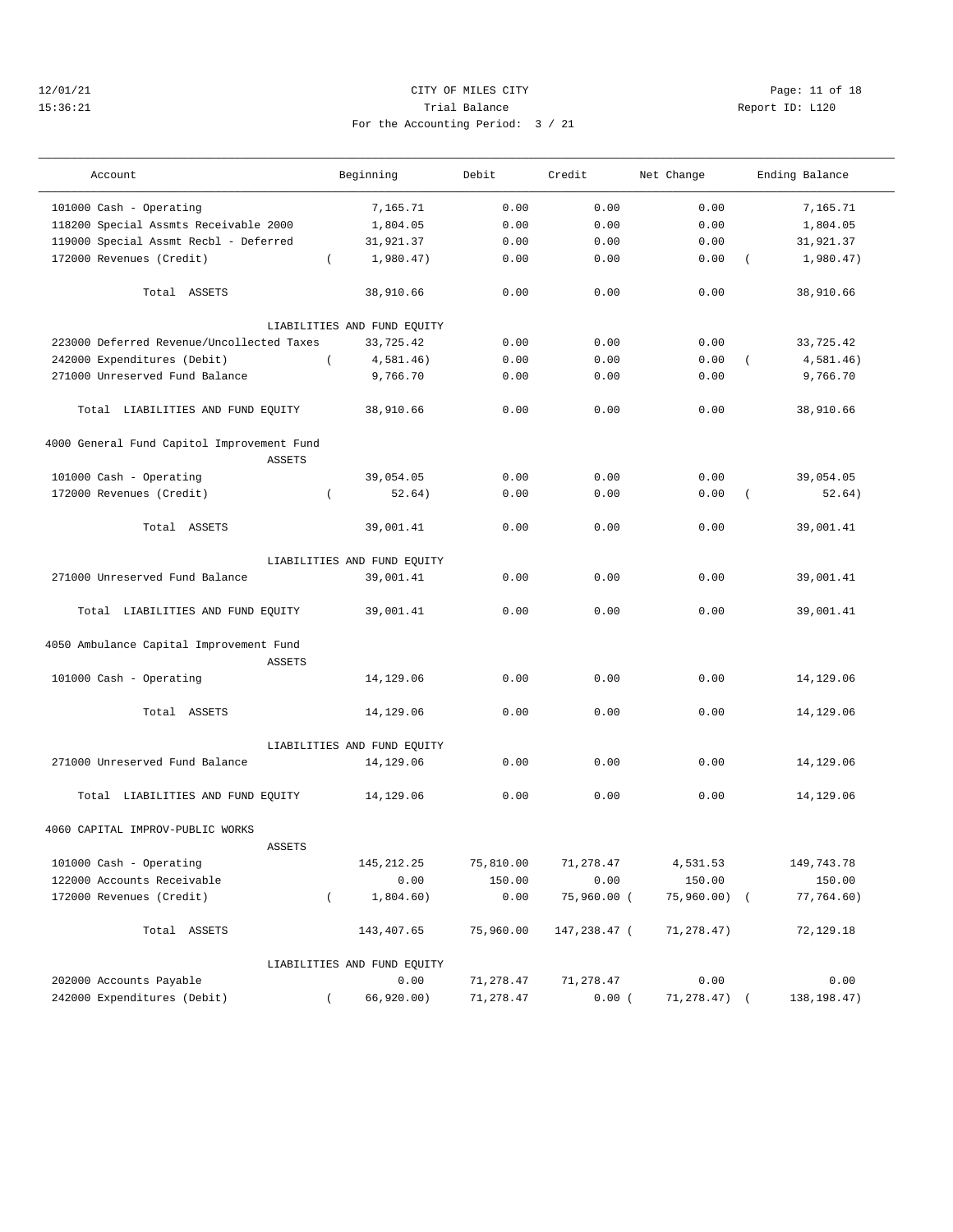#### 12/01/21 **CITY OF MILES CITY CITY CITY PAGE:** 11 of 18 15:36:21 Trial Balance Report ID: L120 For the Accounting Period: 3 / 21

| Account                                    |                  | Beginning                   | Debit     | Credit       | Net Change   |                | Ending Balance |
|--------------------------------------------|------------------|-----------------------------|-----------|--------------|--------------|----------------|----------------|
| 101000 Cash - Operating                    |                  | 7,165.71                    | 0.00      | 0.00         | 0.00         |                | 7,165.71       |
| 118200 Special Assmts Receivable 2000      |                  | 1,804.05                    | 0.00      | 0.00         | 0.00         |                | 1,804.05       |
| 119000 Special Assmt Recbl - Deferred      |                  | 31,921.37                   | 0.00      | 0.00         | 0.00         |                | 31,921.37      |
| 172000 Revenues (Credit)                   | $\left($         | 1,980.47)                   | 0.00      | 0.00         | 0.00         | $\left($       | 1,980.47)      |
| Total ASSETS                               |                  | 38,910.66                   | 0.00      | 0.00         | 0.00         |                | 38,910.66      |
|                                            |                  | LIABILITIES AND FUND EQUITY |           |              |              |                |                |
| 223000 Deferred Revenue/Uncollected Taxes  |                  | 33,725.42                   | 0.00      | 0.00         | 0.00         |                | 33,725.42      |
| 242000 Expenditures (Debit)                | $\left($         | 4,581.46)                   | 0.00      | 0.00         | 0.00         | $\sqrt{2}$     | 4,581.46)      |
| 271000 Unreserved Fund Balance             |                  | 9,766.70                    | 0.00      | 0.00         | 0.00         |                | 9,766.70       |
| Total LIABILITIES AND FUND EQUITY          |                  | 38,910.66                   | 0.00      | 0.00         | 0.00         |                | 38,910.66      |
| 4000 General Fund Capitol Improvement Fund |                  |                             |           |              |              |                |                |
| <b>ASSETS</b>                              |                  |                             |           |              |              |                |                |
| 101000 Cash - Operating                    |                  | 39,054.05                   | 0.00      | 0.00         | 0.00         |                | 39,054.05      |
| 172000 Revenues (Credit)                   | $\left($         | 52.64)                      | 0.00      | 0.00         | 0.00         | $\overline{ }$ | 52.64)         |
| Total ASSETS                               |                  | 39,001.41                   | 0.00      | 0.00         | 0.00         |                | 39,001.41      |
|                                            |                  | LIABILITIES AND FUND EQUITY |           |              |              |                |                |
| 271000 Unreserved Fund Balance             |                  | 39,001.41                   | 0.00      | 0.00         | 0.00         |                | 39,001.41      |
| Total LIABILITIES AND FUND EQUITY          |                  | 39,001.41                   | 0.00      | 0.00         | 0.00         |                | 39,001.41      |
| 4050 Ambulance Capital Improvement Fund    |                  |                             |           |              |              |                |                |
| <b>ASSETS</b>                              |                  |                             |           |              |              |                |                |
| 101000 Cash - Operating                    |                  | 14,129.06                   | 0.00      | 0.00         | 0.00         |                | 14,129.06      |
| Total ASSETS                               |                  | 14,129.06                   | 0.00      | 0.00         | 0.00         |                | 14,129.06      |
|                                            |                  | LIABILITIES AND FUND EQUITY |           |              |              |                |                |
| 271000 Unreserved Fund Balance             |                  | 14,129.06                   | 0.00      | 0.00         | 0.00         |                | 14,129.06      |
| Total LIABILITIES AND FUND EQUITY          |                  | 14,129.06                   | 0.00      | 0.00         | 0.00         |                | 14,129.06      |
| 4060 CAPITAL IMPROV-PUBLIC WORKS           |                  |                             |           |              |              |                |                |
| <b>ASSETS</b>                              |                  |                             |           |              |              |                |                |
| 101000 Cash - Operating                    |                  | 145, 212.25                 | 75,810.00 | 71,278.47    | 4,531.53     |                | 149,743.78     |
| 122000 Accounts Receivable                 |                  | 0.00                        | 150.00    | 0.00         | 150.00       |                | 150.00         |
| 172000 Revenues (Credit)                   | $\overline{(\ }$ | 1,804.60)                   | 0.00      | 75,960.00 (  | 75,960.00) ( |                | 77,764.60)     |
| Total ASSETS                               |                  | 143,407.65                  | 75,960.00 | 147,238.47 ( | 71,278.47)   |                | 72,129.18      |
|                                            |                  | LIABILITIES AND FUND EQUITY |           |              |              |                |                |
| 202000 Accounts Payable                    |                  | 0.00                        | 71,278.47 | 71,278.47    | 0.00         |                | 0.00           |
| 242000 Expenditures (Debit)                |                  | 66,920.00)                  | 71,278.47 | 0.00         | 71,278.47)   |                | 138, 198. 47)  |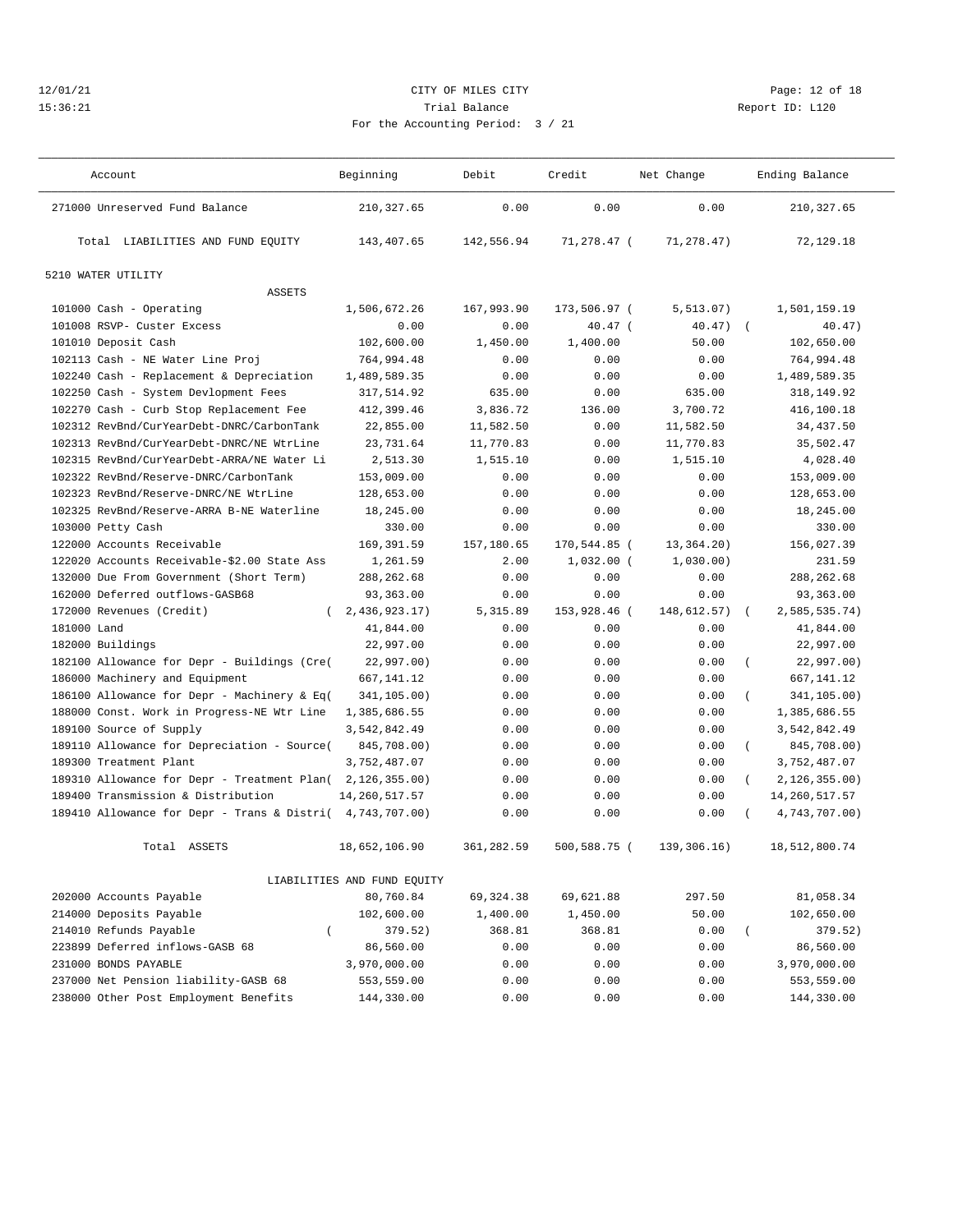# 12/01/21 **CITY OF MILES CITY CITY CITY Page: 12 of 18** 15:36:21 Trial Balance Report ID: L120 For the Accounting Period: 3 / 21

| Account                                     | Beginning                   | Debit      | Credit        | Net Change  |                  | Ending Balance  |
|---------------------------------------------|-----------------------------|------------|---------------|-------------|------------------|-----------------|
| 271000 Unreserved Fund Balance              | 210, 327.65                 | 0.00       | 0.00          | 0.00        |                  | 210, 327.65     |
| Total LIABILITIES AND FUND EQUITY           | 143,407.65                  | 142,556.94 | $71.278.47$ ( | 71,278.47)  |                  | 72,129.18       |
| 5210 WATER UTILITY                          |                             |            |               |             |                  |                 |
| <b>ASSETS</b>                               |                             |            |               |             |                  |                 |
| 101000 Cash - Operating                     | 1,506,672.26                | 167,993.90 | 173,506.97 (  | 5, 513.07)  |                  | 1,501,159.19    |
| 101008 RSVP- Custer Excess                  | 0.00                        | 0.00       | $40.47$ (     | 40.47)      | $\left($         | 40.47)          |
| 101010 Deposit Cash                         | 102,600.00                  | 1,450.00   | 1,400.00      | 50.00       |                  | 102,650.00      |
| 102113 Cash - NE Water Line Proj            | 764,994.48                  | 0.00       | 0.00          | 0.00        |                  | 764,994.48      |
| 102240 Cash - Replacement & Depreciation    | 1,489,589.35                | 0.00       | 0.00          | 0.00        |                  | 1,489,589.35    |
| 102250 Cash - System Devlopment Fees        | 317,514.92                  | 635.00     | 0.00          | 635.00      |                  | 318,149.92      |
| 102270 Cash - Curb Stop Replacement Fee     | 412,399.46                  | 3,836.72   | 136.00        | 3,700.72    |                  | 416,100.18      |
| 102312 RevBnd/CurYearDebt-DNRC/CarbonTank   | 22,855.00                   | 11,582.50  | 0.00          | 11,582.50   |                  | 34,437.50       |
| 102313 RevBnd/CurYearDebt-DNRC/NE WtrLine   | 23,731.64                   | 11,770.83  | 0.00          | 11,770.83   |                  | 35,502.47       |
| 102315 RevBnd/CurYearDebt-ARRA/NE Water Li  | 2,513.30                    | 1,515.10   | 0.00          | 1,515.10    |                  | 4,028.40        |
| 102322 RevBnd/Reserve-DNRC/CarbonTank       | 153,009.00                  | 0.00       | 0.00          | 0.00        |                  | 153,009.00      |
| 102323 RevBnd/Reserve-DNRC/NE WtrLine       | 128,653.00                  | 0.00       | 0.00          | 0.00        |                  | 128,653.00      |
| 102325 RevBnd/Reserve-ARRA B-NE Waterline   | 18,245.00                   | 0.00       | 0.00          | 0.00        |                  | 18,245.00       |
| 103000 Petty Cash                           | 330.00                      | 0.00       | 0.00          | 0.00        |                  | 330.00          |
| 122000 Accounts Receivable                  | 169,391.59                  | 157,180.65 | 170,544.85 (  | 13,364.20)  |                  | 156,027.39      |
| 122020 Accounts Receivable-\$2.00 State Ass | 1,261.59                    | 2.00       | $1,032.00$ (  | 1,030.00)   |                  | 231.59          |
| 132000 Due From Government (Short Term)     | 288, 262.68                 | 0.00       | 0.00          | 0.00        |                  | 288, 262.68     |
| 162000 Deferred outflows-GASB68             | 93,363.00                   | 0.00       | 0.00          | 0.00        |                  | 93,363.00       |
| 172000 Revenues (Credit)<br>$\left($        | 2,436,923.17)               | 5,315.89   | 153,928.46 (  | 148,612.57) | $\left($         | 2,585,535.74)   |
| 181000 Land                                 | 41,844.00                   | 0.00       | 0.00          | 0.00        |                  | 41,844.00       |
| 182000 Buildings                            | 22,997.00                   | 0.00       | 0.00          | 0.00        |                  | 22,997.00       |
| 182100 Allowance for Depr - Buildings (Cre( | 22,997.00)                  | 0.00       | 0.00          | 0.00        | $\left($         | 22,997.00)      |
| 186000 Machinery and Equipment              | 667,141.12                  | 0.00       | 0.00          | 0.00        |                  | 667,141.12      |
| 186100 Allowance for Depr - Machinery & Eq( | 341,105.00)                 | 0.00       | 0.00          | 0.00        | $\overline{(\ }$ | 341,105.00)     |
| 188000 Const. Work in Progress-NE Wtr Line  | 1,385,686.55                | 0.00       | 0.00          | 0.00        |                  | 1,385,686.55    |
| 189100 Source of Supply                     | 3,542,842.49                | 0.00       | 0.00          | 0.00        |                  | 3,542,842.49    |
| 189110 Allowance for Depreciation - Source( | 845,708.00)                 | 0.00       | 0.00          | 0.00        | $\left($         | 845,708.00)     |
| 189300 Treatment Plant                      | 3,752,487.07                | 0.00       | 0.00          | 0.00        |                  | 3,752,487.07    |
| 189310 Allowance for Depr - Treatment Plan( | 2,126,355.00)               | 0.00       | 0.00          | 0.00        | $\left($         | 2, 126, 355.00  |
| 189400 Transmission & Distribution          | 14, 260, 517.57             | 0.00       | 0.00          | 0.00        |                  | 14, 260, 517.57 |
| 189410 Allowance for Depr - Trans & Distri( | 4,743,707.00)               | 0.00       | 0.00          | 0.00        |                  | 4,743,707.00)   |
| Total ASSETS                                | 18,652,106.90               | 361,282.59 | 500,588.75 (  | 139,306.16) |                  | 18,512,800.74   |
|                                             | LIABILITIES AND FUND EQUITY |            |               |             |                  |                 |
| 202000 Accounts Payable                     | 80,760.84                   | 69, 324.38 | 69,621.88     | 297.50      |                  | 81,058.34       |
| 214000 Deposits Payable                     | 102,600.00                  | 1,400.00   | 1,450.00      | 50.00       |                  | 102,650.00      |
| 214010 Refunds Payable<br>$\left($          | 379.52)                     | 368.81     | 368.81        | 0.00        | $\left($         | 379.52)         |
| 223899 Deferred inflows-GASB 68             | 86,560.00                   | 0.00       | 0.00          | 0.00        |                  | 86,560.00       |
| 231000 BONDS PAYABLE                        | 3,970,000.00                | 0.00       | 0.00          | 0.00        |                  | 3,970,000.00    |
| 237000 Net Pension liability-GASB 68        | 553,559.00                  | 0.00       | 0.00          | 0.00        |                  | 553,559.00      |
| 238000 Other Post Employment Benefits       | 144,330.00                  | 0.00       | 0.00          | 0.00        |                  | 144,330.00      |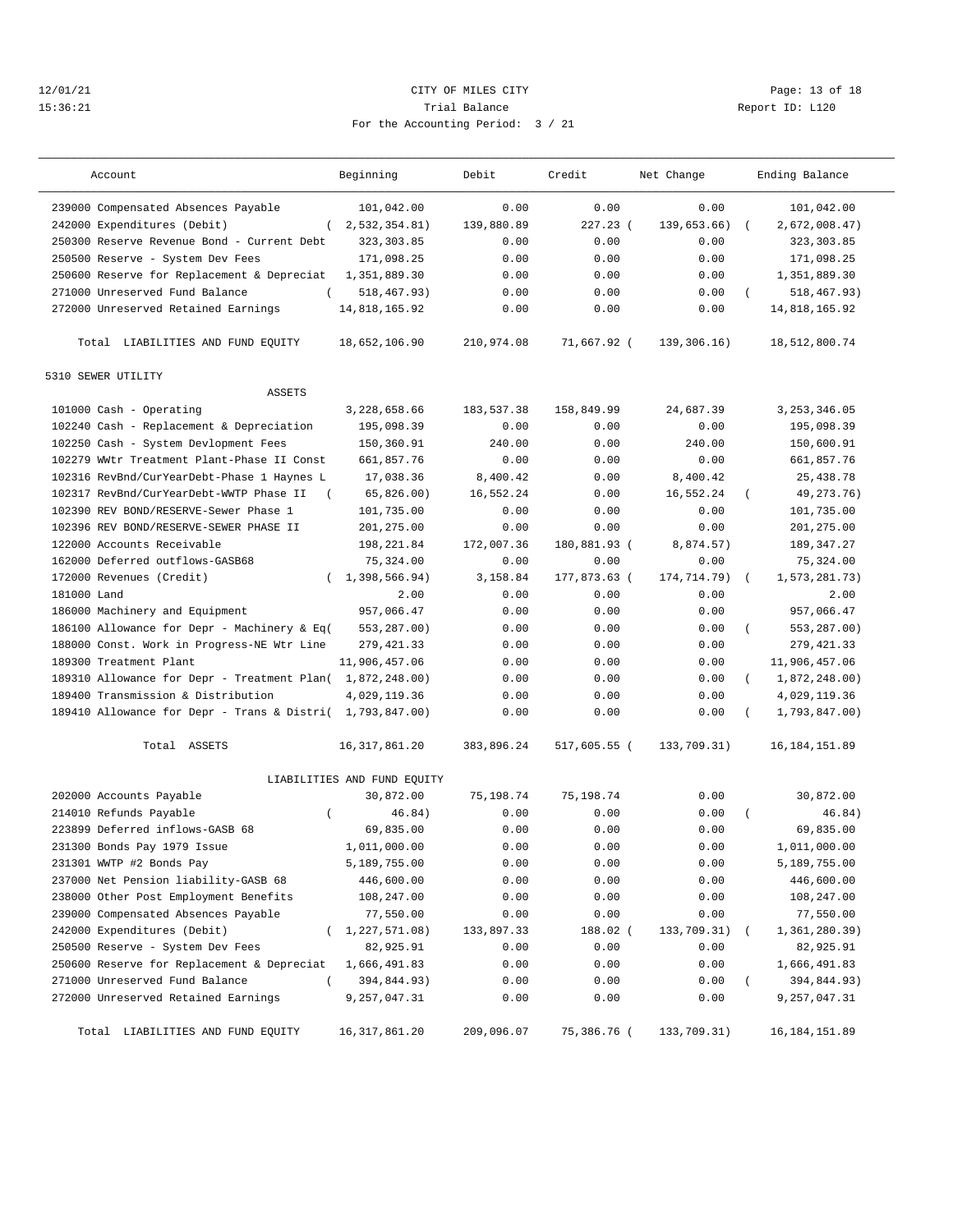#### 12/01/21 **CITY OF MILES CITY CITY CITY PAGE:** 13 of 18 15:36:21 Trial Balance Report ID: L120 For the Accounting Period: 3 / 21

| Account                                                   | Beginning                   | Debit      | Credit       | Net Change  |          | Ending Balance  |  |
|-----------------------------------------------------------|-----------------------------|------------|--------------|-------------|----------|-----------------|--|
| 239000 Compensated Absences Payable                       | 101,042.00                  | 0.00       | 0.00         | 0.00        |          | 101,042.00      |  |
| 242000 Expenditures (Debit)                               | (2, 532, 354.81)            | 139,880.89 | $227.23$ (   | 139,653.66) |          | 2,672,008.47)   |  |
| 250300 Reserve Revenue Bond - Current Debt                | 323, 303.85                 | 0.00       | 0.00         | 0.00        |          | 323, 303.85     |  |
| 250500 Reserve - System Dev Fees                          | 171,098.25                  | 0.00       | 0.00         | 0.00        |          | 171,098.25      |  |
| 250600 Reserve for Replacement & Depreciat                | 1,351,889.30                | 0.00       | 0.00         | 0.00        |          | 1,351,889.30    |  |
| 271000 Unreserved Fund Balance<br>$\left($                | 518,467.93)                 | 0.00       | 0.00         | 0.00        | $\left($ | 518,467.93)     |  |
| 272000 Unreserved Retained Earnings                       | 14,818,165.92               | 0.00       | 0.00         | 0.00        |          | 14,818,165.92   |  |
| Total LIABILITIES AND FUND EQUITY                         | 18,652,106.90               | 210,974.08 | 71,667.92 (  | 139,306.16) |          | 18,512,800.74   |  |
| 5310 SEWER UTILITY<br><b>ASSETS</b>                       |                             |            |              |             |          |                 |  |
|                                                           |                             |            | 158,849.99   | 24,687.39   |          |                 |  |
| 101000 Cash - Operating                                   | 3,228,658.66                | 183,537.38 |              |             |          | 3, 253, 346.05  |  |
| 102240 Cash - Replacement & Depreciation                  | 195,098.39                  | 0.00       | 0.00         | 0.00        |          | 195,098.39      |  |
| 102250 Cash - System Devlopment Fees                      | 150,360.91                  | 240.00     | 0.00         | 240.00      |          | 150,600.91      |  |
| 102279 WWtr Treatment Plant-Phase II Const                | 661,857.76                  | 0.00       | 0.00         | 0.00        |          | 661,857.76      |  |
| 102316 RevBnd/CurYearDebt-Phase 1 Haynes L                | 17,038.36                   | 8,400.42   | 0.00         | 8,400.42    |          | 25, 438.78      |  |
| 102317 RevBnd/CurYearDebt-WWTP Phase II                   | 65,826.00                   | 16,552.24  | 0.00         | 16,552.24   |          | 49, 273. 76)    |  |
| 102390 REV BOND/RESERVE-Sewer Phase 1                     | 101,735.00                  | 0.00       | 0.00         | 0.00        |          | 101,735.00      |  |
| 102396 REV BOND/RESERVE-SEWER PHASE II                    | 201,275.00                  | 0.00       | 0.00         | 0.00        |          | 201,275.00      |  |
| 122000 Accounts Receivable                                | 198,221.84                  | 172,007.36 | 180,881.93 ( | 8,874.57)   |          | 189, 347.27     |  |
| 162000 Deferred outflows-GASB68                           | 75, 324.00                  | 0.00       | 0.00         | 0.00        |          | 75,324.00       |  |
| 172000 Revenues (Credit)                                  | 1,398,566.94)               | 3,158.84   | 177,873.63 ( | 174,714.79) |          | 1,573,281.73)   |  |
| 181000 Land                                               | 2.00                        | 0.00       | 0.00         | 0.00        |          | 2.00            |  |
| 186000 Machinery and Equipment                            | 957,066.47                  | 0.00       | 0.00         | 0.00        |          | 957,066.47      |  |
| 186100 Allowance for Depr - Machinery & Eq(               | 553,287.00)                 | 0.00       | 0.00         | 0.00        | $\left($ | 553,287.00)     |  |
| 188000 Const. Work in Progress-NE Wtr Line                | 279, 421.33                 | 0.00       | 0.00         | 0.00        |          | 279, 421.33     |  |
| 189300 Treatment Plant                                    | 11,906,457.06               | 0.00       | 0.00         | 0.00        |          | 11,906,457.06   |  |
| 189310 Allowance for Depr - Treatment Plan( 1,872,248.00) |                             | 0.00       | 0.00         | 0.00        | $\left($ | 1,872,248.00)   |  |
| 189400 Transmission & Distribution                        | 4,029,119.36                | 0.00       | 0.00         | 0.00        |          | 4,029,119.36    |  |
| 189410 Allowance for Depr - Trans & Distri( 1,793,847.00) |                             | 0.00       | 0.00         | 0.00        |          | 1,793,847.00)   |  |
| Total ASSETS                                              | 16, 317, 861.20             | 383,896.24 | 517,605.55 ( | 133,709.31) |          | 16, 184, 151.89 |  |
|                                                           | LIABILITIES AND FUND EQUITY |            |              |             |          |                 |  |
| 202000 Accounts Payable                                   | 30,872.00                   | 75,198.74  | 75,198.74    | 0.00        |          | 30,872.00       |  |
| 214010 Refunds Payable<br>$\left($                        | 46.84)                      | 0.00       | 0.00         | 0.00        |          | 46.84)          |  |
| 223899 Deferred inflows-GASB 68                           | 69,835.00                   | 0.00       | 0.00         | 0.00        |          | 69,835.00       |  |
| 231300 Bonds Pay 1979 Issue                               | 1,011,000.00                | 0.00       | 0.00         | 0.00        |          | 1,011,000.00    |  |
| 231301 WWTP #2 Bonds Pay                                  | 5,189,755.00                | 0.00       | 0.00         | 0.00        |          | 5,189,755.00    |  |
| 237000 Net Pension liability-GASB 68                      | 446,600.00                  | 0.00       | 0.00         | 0.00        |          | 446,600.00      |  |
| 238000 Other Post Employment Benefits                     | 108,247.00                  | 0.00       | 0.00         | 0.00        |          | 108,247.00      |  |
| 239000 Compensated Absences Payable                       | 77,550.00                   | 0.00       | 0.00         | 0.00        |          | 77,550.00       |  |
| 242000 Expenditures (Debit)                               | (1, 227, 571.08)            | 133,897.33 | 188.02 (     | 133,709.31) |          | 1,361,280.39)   |  |
| 250500 Reserve - System Dev Fees                          | 82,925.91                   | 0.00       | 0.00         | 0.00        |          | 82,925.91       |  |
| 250600 Reserve for Replacement & Depreciat                | 1,666,491.83                | 0.00       | 0.00         | 0.00        |          | 1,666,491.83    |  |
| 271000 Unreserved Fund Balance<br>$\left($                | 394,844.93)                 | 0.00       | 0.00         | 0.00        |          | 394,844.93)     |  |
| 272000 Unreserved Retained Earnings                       | 9,257,047.31                | 0.00       | 0.00         | 0.00        |          | 9,257,047.31    |  |
| Total LIABILITIES AND FUND EQUITY                         | 16, 317, 861.20             | 209,096.07 | 75,386.76 (  | 133,709.31) |          | 16, 184, 151.89 |  |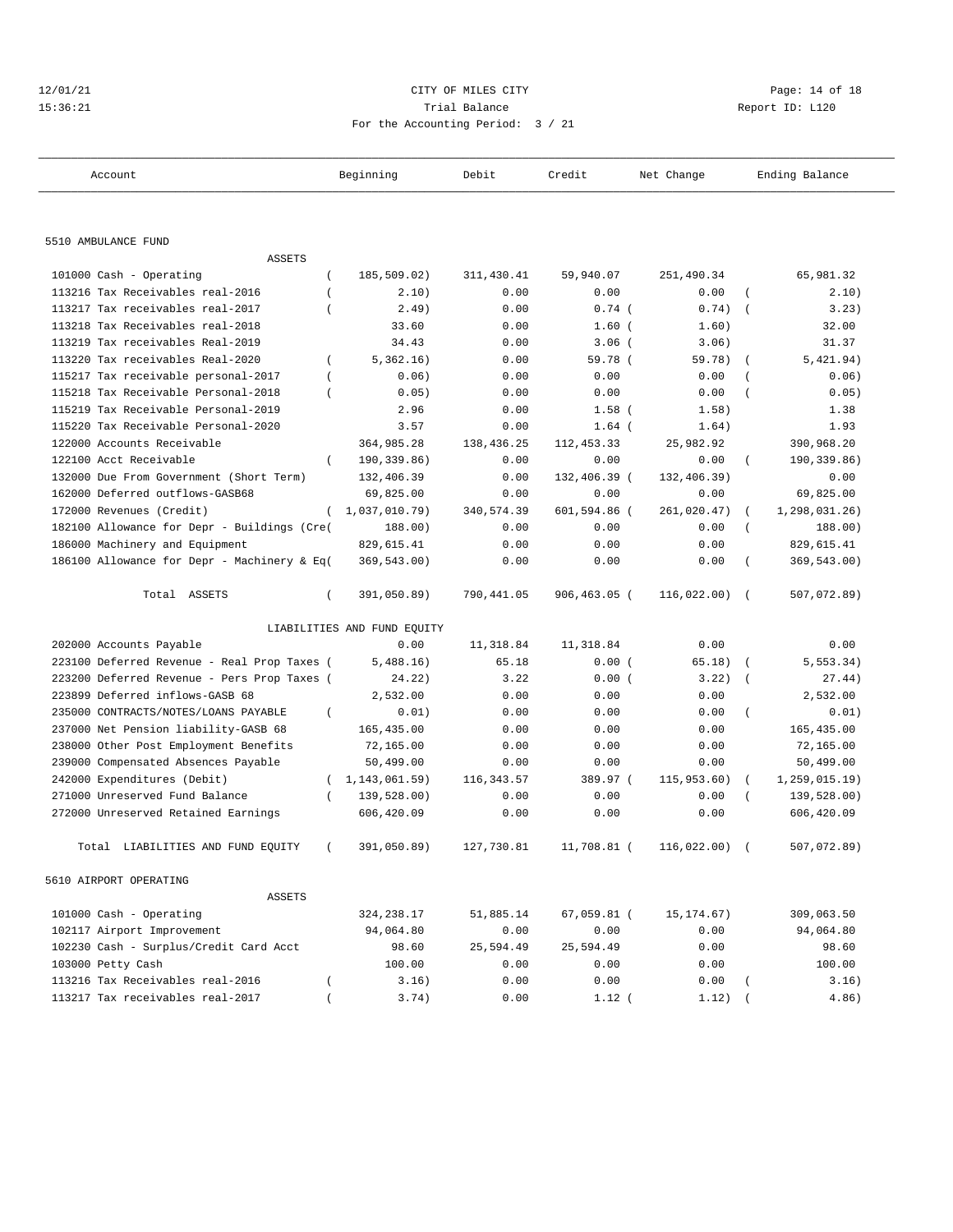| 12/01/21 | CITY OF MILES CITY                | Page: 14 of 18  |
|----------|-----------------------------------|-----------------|
| 15:36:21 | Trial Balance                     | Report ID: L120 |
|          | For the Accounting Period: 3 / 21 |                 |

# For the Accounting Period: 3 / 21

| Account                                                 | Beginning                   | Debit      | Credit        | Net Change   |                  | Ending Balance |  |  |
|---------------------------------------------------------|-----------------------------|------------|---------------|--------------|------------------|----------------|--|--|
|                                                         |                             |            |               |              |                  |                |  |  |
| 5510 AMBULANCE FUND                                     |                             |            |               |              |                  |                |  |  |
| <b>ASSETS</b>                                           |                             |            |               |              |                  |                |  |  |
| 101000 Cash - Operating<br>$\left($                     | 185,509.02)                 | 311,430.41 | 59,940.07     | 251,490.34   |                  | 65,981.32      |  |  |
| 113216 Tax Receivables real-2016<br>$\overline{(\ }$    | 2.10)                       | 0.00       | 0.00          | 0.00         | $\overline{ }$   | 2.10)          |  |  |
| 113217 Tax receivables real-2017                        | 2.49)                       | 0.00       | $0.74$ (      | 0.74)        | $\overline{ }$   | 3.23)          |  |  |
| 113218 Tax Receivables real-2018                        | 33.60                       | 0.00       | $1.60$ (      | 1.60)        |                  | 32.00          |  |  |
| 113219 Tax receivables Real-2019                        | 34.43                       | 0.00       | $3.06$ (      | 3.06)        |                  | 31.37          |  |  |
| 113220 Tax receivables Real-2020<br>$\left($            | 5,362.16)                   | 0.00       | 59.78 (       | 59.78)       | $\overline{ }$   | 5,421.94)      |  |  |
| 115217 Tax receivable personal-2017<br>$\overline{(\ }$ | 0.06)                       | 0.00       | 0.00          | 0.00         | $\overline{(\ }$ | 0.06)          |  |  |
| 115218 Tax Receivable Personal-2018<br>$\overline{(\ }$ | 0.05)                       | 0.00       | 0.00          | 0.00         | $\overline{ }$   | 0.05)          |  |  |
| 115219 Tax Receivable Personal-2019                     | 2.96                        | 0.00       | $1.58$ (      | 1.58)        |                  | 1.38           |  |  |
| 115220 Tax Receivable Personal-2020                     | 3.57                        | 0.00       | $1.64$ (      | 1.64)        |                  | 1.93           |  |  |
| 122000 Accounts Receivable                              | 364,985.28                  | 138,436.25 | 112, 453.33   | 25,982.92    |                  | 390,968.20     |  |  |
| $\left($<br>122100 Acct Receivable                      | 190,339.86)                 | 0.00       | 0.00          | 0.00         | $\left($         | 190,339.86)    |  |  |
| 132000 Due From Government (Short Term)                 | 132,406.39                  | 0.00       | 132,406.39 (  | 132,406.39)  |                  | 0.00           |  |  |
| 162000 Deferred outflows-GASB68                         | 69,825.00                   | 0.00       | 0.00          | 0.00         |                  | 69,825.00      |  |  |
| 172000 Revenues (Credit)<br>$\left($                    | 1,037,010.79)               | 340,574.39 | 601,594.86 (  | 261,020.47)  | $\left($         | 1,298,031.26)  |  |  |
| 182100 Allowance for Depr - Buildings (Cre(             | 188.00)                     | 0.00       | 0.00          | 0.00         | $\left($         | 188.00)        |  |  |
| 186000 Machinery and Equipment                          | 829,615.41                  | 0.00       | 0.00          | 0.00         |                  | 829,615.41     |  |  |
| 186100 Allowance for Depr - Machinery & Eq(             | 369,543.00)                 | 0.00       | 0.00          | 0.00         | $\overline{(\ }$ | 369,543.00)    |  |  |
|                                                         |                             |            |               |              |                  |                |  |  |
| Total ASSETS<br>$\left($                                | 391,050.89)                 | 790,441.05 | 906,463.05 (  | 116,022.00)  | $\sqrt{2}$       | 507,072.89)    |  |  |
|                                                         | LIABILITIES AND FUND EQUITY |            |               |              |                  |                |  |  |
| 202000 Accounts Payable                                 | 0.00                        | 11,318.84  | 11,318.84     | 0.00         |                  | 0.00           |  |  |
| 223100 Deferred Revenue - Real Prop Taxes (             | 5,488.16)                   | 65.18      | 0.00(         | 65.18)       | $\overline{ }$   | 5, 553.34)     |  |  |
| 223200 Deferred Revenue - Pers Prop Taxes (             | 24.22)                      | 3.22       | 0.00(         | 3.22)        | $\overline{ }$   | 27.44)         |  |  |
| 223899 Deferred inflows-GASB 68                         | 2,532.00                    | 0.00       | 0.00          | 0.00         |                  | 2,532.00       |  |  |
| 235000 CONTRACTS/NOTES/LOANS PAYABLE<br>$\left($        | 0.01)                       | 0.00       | 0.00          | 0.00         | $\overline{ }$   | 0.01)          |  |  |
| 237000 Net Pension liability-GASB 68                    | 165,435.00                  | 0.00       | 0.00          | 0.00         |                  | 165,435.00     |  |  |
| 238000 Other Post Employment Benefits                   | 72,165.00                   | 0.00       | 0.00          | 0.00         |                  | 72,165.00      |  |  |
| 239000 Compensated Absences Payable                     | 50,499.00                   | 0.00       | 0.00          | 0.00         |                  | 50,499.00      |  |  |
| 242000 Expenditures (Debit)<br>$\left($                 | 1,143,061.59)               | 116,343.57 | 389.97 (      | 115, 953.60) | $\left($         | 1,259,015.19)  |  |  |
| $\left($<br>271000 Unreserved Fund Balance              | 139,528.00)                 | 0.00       | 0.00          | 0.00         |                  | 139,528.00)    |  |  |
| 272000 Unreserved Retained Earnings                     | 606,420.09                  | 0.00       | 0.00          | 0.00         |                  | 606,420.09     |  |  |
| Total<br>LIABILITIES AND FUND EQUITY                    | 391,050.89)                 | 127,730.81 | 11,708.81 (   | 116,022.00)  |                  | 507,072.89)    |  |  |
| 5610 AIRPORT OPERATING                                  |                             |            |               |              |                  |                |  |  |
| ASSETS                                                  |                             |            |               |              |                  |                |  |  |
| 101000 Cash - Operating                                 | 324,238.17                  | 51,885.14  | $67,059.81$ ( | 15, 174. 67) |                  | 309,063.50     |  |  |
| 102117 Airport Improvement                              | 94,064.80                   | 0.00       | 0.00          | 0.00         |                  | 94,064.80      |  |  |
| 102230 Cash - Surplus/Credit Card Acct                  | 98.60                       | 25,594.49  | 25,594.49     | 0.00         |                  | 98.60          |  |  |
| 103000 Petty Cash                                       | 100.00                      | 0.00       | 0.00          | 0.00         |                  | 100.00         |  |  |
| 113216 Tax Receivables real-2016                        | 3.16)                       | 0.00       | 0.00          | 0.00         |                  | 3.16)          |  |  |
| 113217 Tax receivables real-2017                        | 3.74)                       | 0.00       | $1.12$ (      | 1.12)        |                  | 4.86)          |  |  |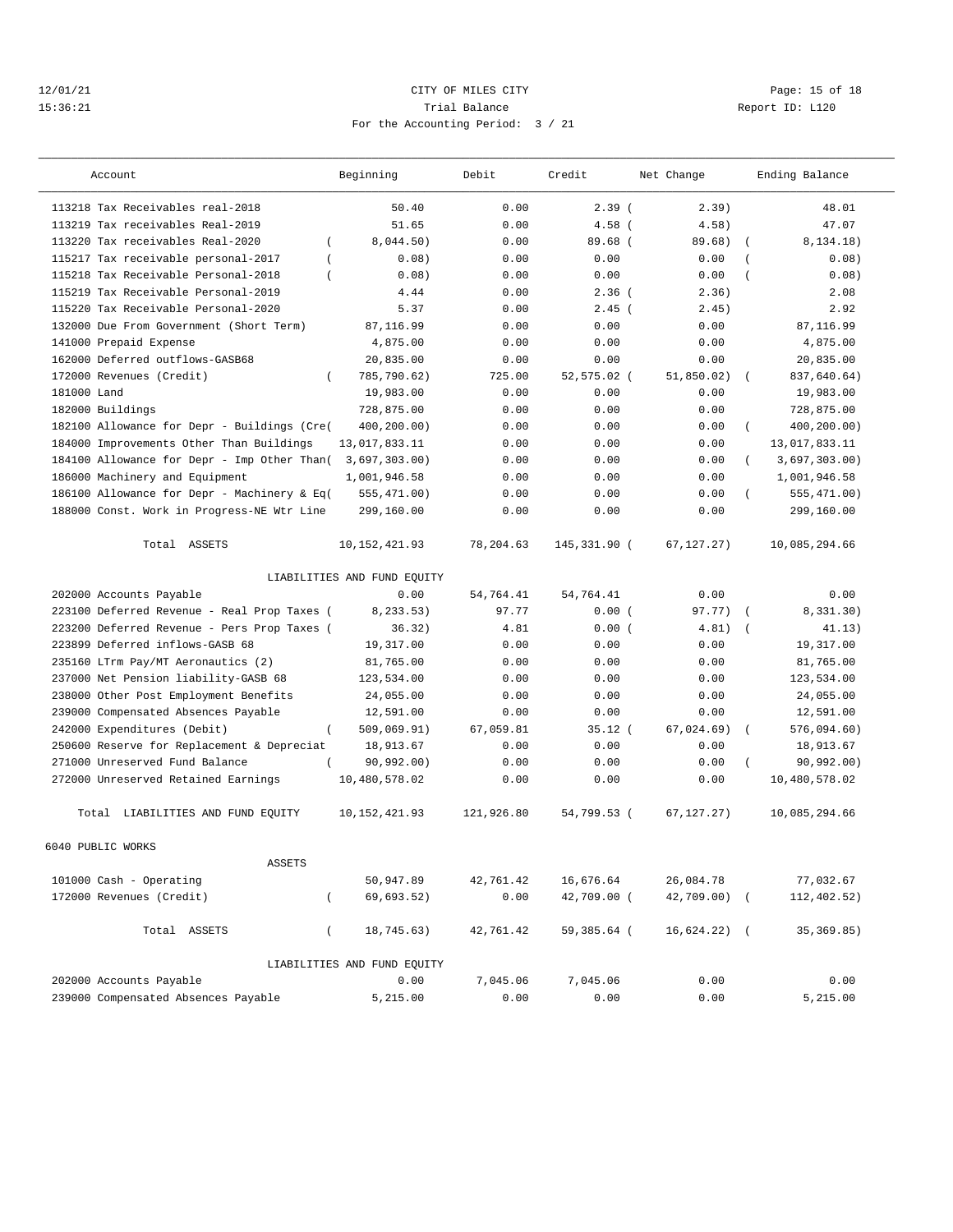#### 12/01/21 Page: 15 of 18 15:36:21 Trial Balance Report ID: L120 For the Accounting Period: 3 / 21

| Account                                               | Beginning<br>Debit<br>Credit<br>Net Change |            | Ending Balance |                 |                           |
|-------------------------------------------------------|--------------------------------------------|------------|----------------|-----------------|---------------------------|
| 113218 Tax Receivables real-2018                      | 50.40                                      | 0.00       | 2.39(          | 2.39)           | 48.01                     |
| 113219 Tax receivables Real-2019                      | 51.65                                      | 0.00       | $4.58$ (       | 4.58)           | 47.07                     |
| 113220 Tax receivables Real-2020<br>$\left($          | 8,044.50)                                  | 0.00       | $89.68$ (      | 89.68)          | 8, 134.18)                |
| 115217 Tax receivable personal-2017<br>$\left($       | 0.08)                                      | 0.00       | 0.00           | 0.00            | 0.08)                     |
| 115218 Tax Receivable Personal-2018<br>$\overline{ }$ | 0.08)                                      | 0.00       | 0.00           | 0.00            | 0.08)                     |
| 115219 Tax Receivable Personal-2019                   | 4.44                                       | 0.00       | $2.36$ (       | 2.36)           | 2.08                      |
| 115220 Tax Receivable Personal-2020                   | 5.37                                       | 0.00       | $2.45$ (       | 2.45)           | 2.92                      |
| 132000 Due From Government (Short Term)               | 87,116.99                                  | 0.00       | 0.00           | 0.00            | 87,116.99                 |
| 141000 Prepaid Expense                                | 4,875.00                                   | 0.00       | 0.00           | 0.00            | 4,875.00                  |
| 162000 Deferred outflows-GASB68                       | 20,835.00                                  | 0.00       | 0.00           | 0.00            | 20,835.00                 |
| 172000 Revenues (Credit)<br>$\left($                  | 785,790.62)                                | 725.00     | 52,575.02 (    | 51,850.02)      | 837,640.64)<br>$\sqrt{2}$ |
| 181000 Land                                           | 19,983.00                                  | 0.00       | 0.00           | 0.00            | 19,983.00                 |
| 182000 Buildings                                      | 728,875.00                                 | 0.00       | 0.00           | 0.00            | 728,875.00                |
| 182100 Allowance for Depr - Buildings (Cre(           | 400,200.00)                                | 0.00       | 0.00           | 0.00            | 400,200.00)<br>$\left($   |
| 184000 Improvements Other Than Buildings              | 13,017,833.11                              | 0.00       | 0.00           | 0.00            | 13,017,833.11             |
| 184100 Allowance for Depr - Imp Other Than(           | 3,697,303.00)                              | 0.00       | 0.00           | 0.00            | 3,697,303.00)<br>$\left($ |
| 186000 Machinery and Equipment                        | 1,001,946.58                               | 0.00       | 0.00           | 0.00            | 1,001,946.58              |
| 186100 Allowance for Depr - Machinery & Eq(           | 555,471.00)                                | 0.00       | 0.00           | 0.00            | 555,471.00)               |
| 188000 Const. Work in Progress-NE Wtr Line            | 299,160.00                                 | 0.00       | 0.00           | 0.00            | 299,160.00                |
| Total ASSETS                                          | 10, 152, 421.93                            | 78,204.63  | 145,331.90 (   | 67, 127.27)     | 10,085,294.66             |
|                                                       | LIABILITIES AND FUND EQUITY                |            |                |                 |                           |
| 202000 Accounts Payable                               | 0.00                                       | 54,764.41  | 54.764.41      | 0.00            | 0.00                      |
| 223100 Deferred Revenue - Real Prop Taxes (           | 8,233.53)                                  | 97.77      | 0.00(          | 97.77)          | 8,331.30)<br>$\sqrt{2}$   |
| 223200 Deferred Revenue - Pers Prop Taxes (           | 36.32)                                     | 4.81       | 0.00(          | 4.81)           | 41.13)<br>$\sqrt{ }$      |
| 223899 Deferred inflows-GASB 68                       | 19,317.00                                  | 0.00       | 0.00           | 0.00            | 19,317.00                 |
| 235160 LTrm Pay/MT Aeronautics (2)                    | 81,765.00                                  | 0.00       | 0.00           | 0.00            | 81,765.00                 |
| 237000 Net Pension liability-GASB 68                  | 123,534.00                                 | 0.00       | 0.00           | 0.00            | 123,534.00                |
| 238000 Other Post Employment Benefits                 | 24,055.00                                  | 0.00       | 0.00           | 0.00            | 24,055.00                 |
| 239000 Compensated Absences Payable                   | 12,591.00                                  | 0.00       | 0.00           | 0.00            | 12,591.00                 |
| 242000 Expenditures (Debit)<br>$\left($               | 509,069.91)                                | 67,059.81  | $35.12$ (      | 67,024.69)      | 576,094.60)<br>$\left($   |
| 250600 Reserve for Replacement & Depreciat            | 18,913.67                                  | 0.00       | 0.00           | 0.00            | 18,913.67                 |
| 271000 Unreserved Fund Balance                        | 90, 992.00)                                | 0.00       | 0.00           | 0.00            | 90.992.00<br>$\left($     |
| 272000 Unreserved Retained Earnings                   | 10,480,578.02                              | 0.00       | 0.00           | 0.00            | 10,480,578.02             |
| Total LIABILITIES AND FUND EQUITY                     | 10, 152, 421.93                            | 121,926.80 | 54,799.53 (    | 67, 127, 27)    | 10,085,294.66             |
| 6040 PUBLIC WORKS                                     |                                            |            |                |                 |                           |
| <b>ASSETS</b>                                         |                                            |            |                |                 |                           |
| 101000 Cash - Operating                               | 50,947.89                                  | 42,761.42  | 16,676.64      | 26,084.78       | 77,032.67                 |
| 172000 Revenues (Credit)<br>$\left($                  | 69,693.52)                                 | 0.00       | 42,709.00 (    | 42,709.00) (    | 112,402.52)               |
| Total ASSETS<br>$\left($                              | 18,745.63)                                 | 42,761.42  | 59,385.64 (    | $16,624.22$ ) ( | 35, 369.85)               |
|                                                       | LIABILITIES AND FUND EQUITY                |            |                |                 |                           |
| 202000 Accounts Payable                               | 0.00                                       | 7,045.06   | 7,045.06       | 0.00            | 0.00                      |
| 239000 Compensated Absences Payable                   | 5,215.00                                   | 0.00       | 0.00           | 0.00            | 5,215.00                  |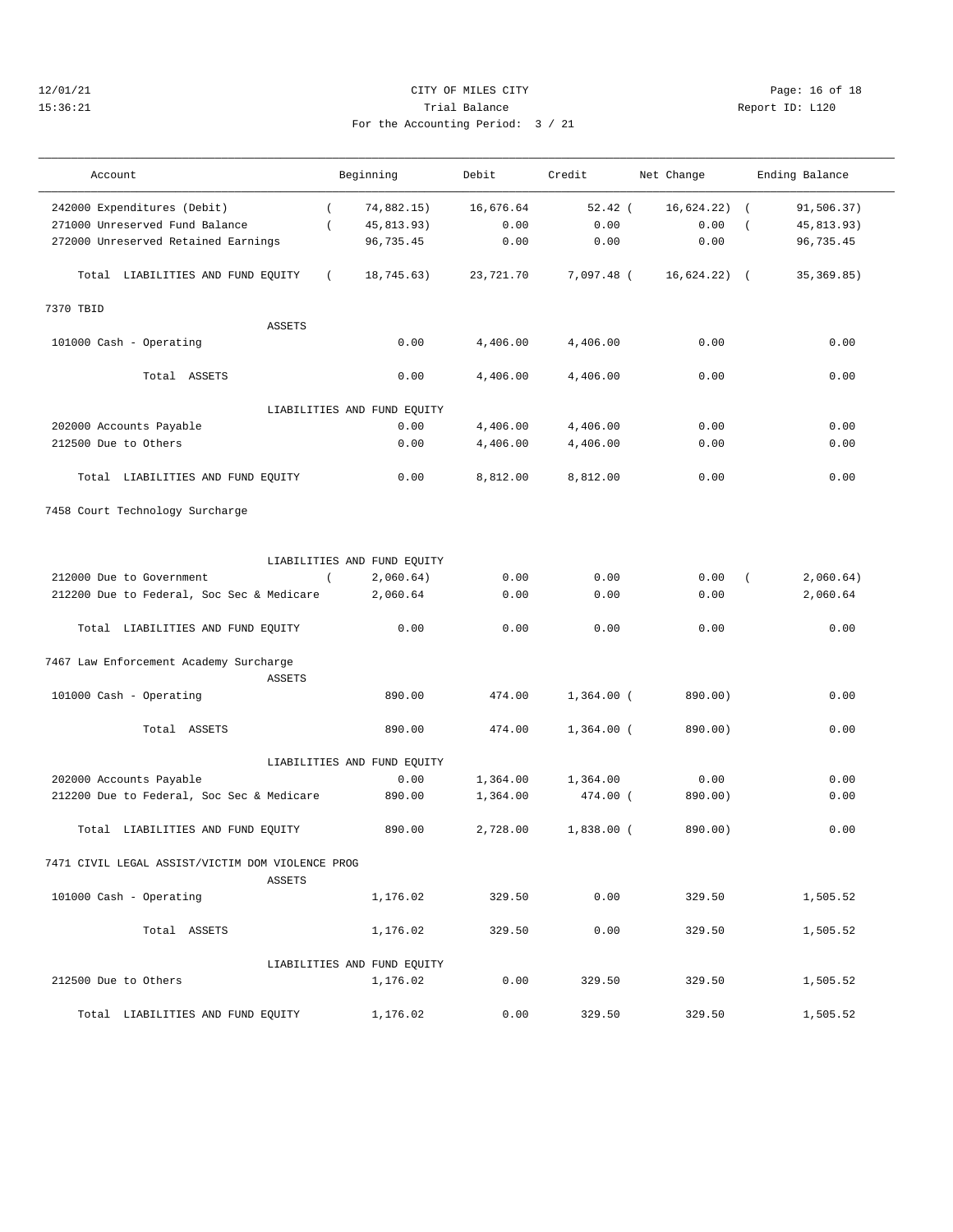# 12/01/21 Page: 16 of 18 15:36:21 Trial Balance Report ID: L120

——————————————————————————————————————————————————————————————————————————————————————————————————————————————————————————————————— Account Beginning Debit Credit Net Change Ending Balance ——————————————————————————————————————————————————————————————————————————————————————————————————————————————————————————————————— 242000 Expenditures (Debit) ( 74,882.15) 16,676.64 52.42 ( 16,624.22) ( 91,506.37) 271000 Unreserved Fund Balance ( 45,813.93) 0.00 0.00 0.00 ( 45,813.93) 272000 Unreserved Retained Earnings 96,735.45 0.00 0.00 0.00 96,735.45

| For the Accounting Period: 3 / 21 |  |
|-----------------------------------|--|
|                                   |  |

| Total LIABILITIES AND FUND EQUITY<br>$\left($    | 18,745.63)                  | 23,721.70 | 7,097.48 (   | $16,624.22$ ) ( | 35, 369.85) |
|--------------------------------------------------|-----------------------------|-----------|--------------|-----------------|-------------|
| 7370 TBID                                        |                             |           |              |                 |             |
| <b>ASSETS</b>                                    |                             |           |              |                 |             |
| 101000 Cash - Operating                          | 0.00                        | 4,406.00  | 4,406.00     | 0.00            | 0.00        |
| Total ASSETS                                     | 0.00                        | 4,406.00  | 4,406.00     | 0.00            | 0.00        |
|                                                  | LIABILITIES AND FUND EQUITY |           |              |                 |             |
| 202000 Accounts Payable                          | 0.00                        | 4,406.00  | 4,406.00     | 0.00            | 0.00        |
| 212500 Due to Others                             | 0.00                        | 4,406.00  | 4,406.00     | 0.00            | 0.00        |
| Total LIABILITIES AND FUND EQUITY                | 0.00                        | 8,812.00  | 8,812.00     | 0.00            | 0.00        |
| 7458 Court Technology Surcharge                  |                             |           |              |                 |             |
|                                                  | LIABILITIES AND FUND EQUITY |           |              |                 |             |
| 212000 Due to Government<br>$\sqrt{2}$           | 2,060.64)                   | 0.00      | 0.00         | 0.00            | 2,060.64)   |
| 212200 Due to Federal, Soc Sec & Medicare        | 2,060.64                    | 0.00      | 0.00         | 0.00            | 2,060.64    |
| Total LIABILITIES AND FUND EQUITY                | 0.00                        | 0.00      | 0.00         | 0.00            | 0.00        |
| 7467 Law Enforcement Academy Surcharge           |                             |           |              |                 |             |
| ASSETS                                           |                             |           |              |                 |             |
| 101000 Cash - Operating                          | 890.00                      | 474.00    | $1,364.00$ ( | 890.00)         | 0.00        |
| Total ASSETS                                     | 890.00                      | 474.00    | $1,364.00$ ( | 890.00)         | 0.00        |
|                                                  | LIABILITIES AND FUND EQUITY |           |              |                 |             |
| 202000 Accounts Payable                          | 0.00                        | 1,364.00  | 1,364.00     | 0.00            | 0.00        |
| 212200 Due to Federal, Soc Sec & Medicare        | 890.00                      | 1,364.00  | 474.00 (     | 890.00)         | 0.00        |
| Total LIABILITIES AND FUND EQUITY                | 890.00                      | 2,728.00  | $1,838.00$ ( | 890.00)         | 0.00        |
| 7471 CIVIL LEGAL ASSIST/VICTIM DOM VIOLENCE PROG |                             |           |              |                 |             |
| <b>ASSETS</b><br>101000 Cash - Operating         | 1,176.02                    | 329.50    | 0.00         | 329.50          | 1,505.52    |
| Total ASSETS                                     | 1,176.02                    | 329.50    | 0.00         | 329.50          | 1,505.52    |
|                                                  | LIABILITIES AND FUND EQUITY |           |              |                 |             |
| 212500 Due to Others                             | 1,176.02                    | 0.00      | 329.50       | 329.50          | 1,505.52    |

Total LIABILITIES AND FUND EQUITY 1,176.02 0.00 329.50 329.50 1,505.52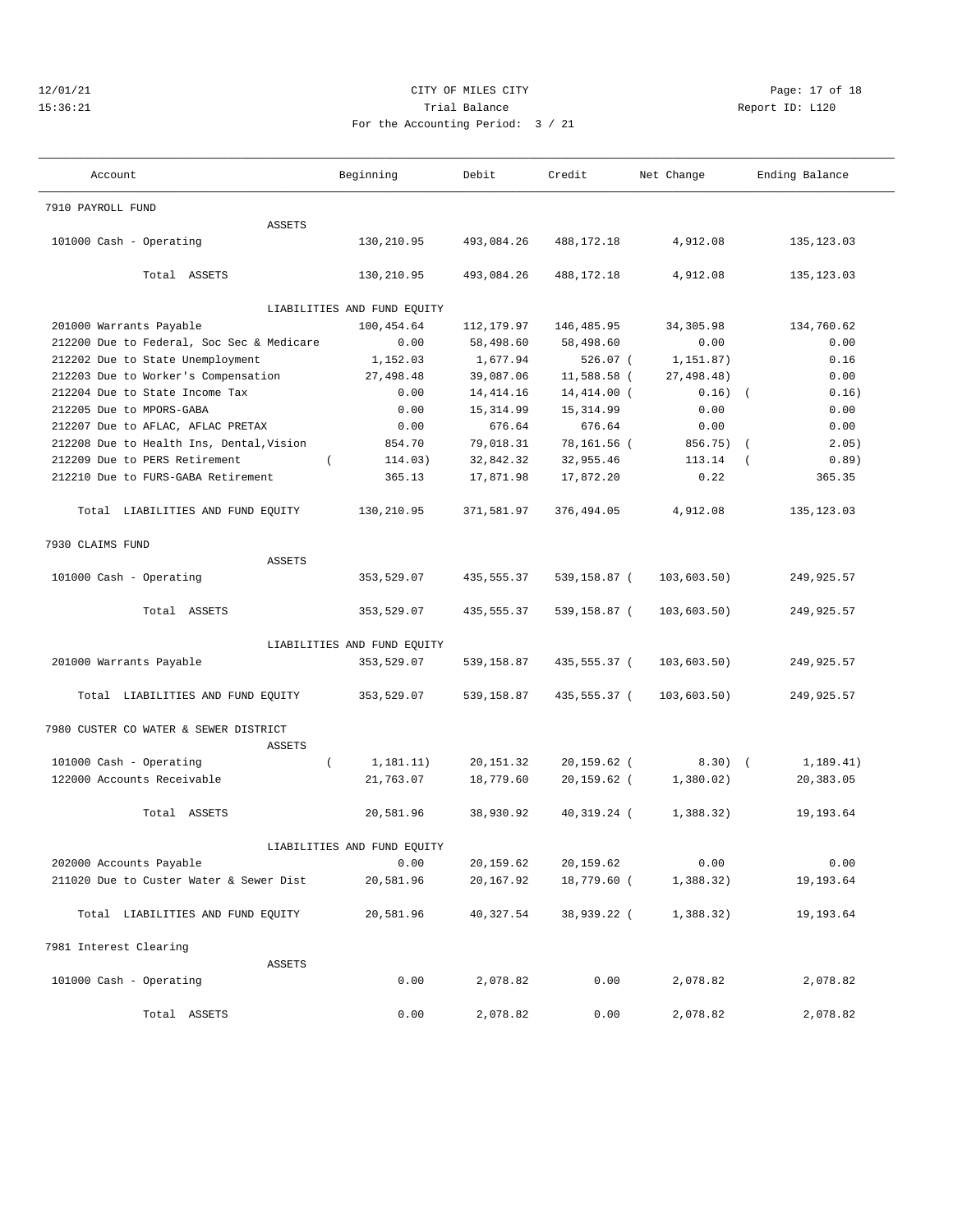# $12/01/21$  Page: 17 of 18 Page: 17 of 18 Page: 17 of 18 Page: 17 of 18 Page: 17 of 18 Page: 17 of 18 Page: 17 of 18 Page: 17 of  $\Gamma$ 15:36:21 Trial Balance Trial Balance Report ID: L120 For the Accounting Period: 3 / 21

| /21 |  |  |
|-----|--|--|

| Account                                   | Beginning                   | Debit      | Credit         | Net Change  | Ending Balance    |
|-------------------------------------------|-----------------------------|------------|----------------|-------------|-------------------|
| 7910 PAYROLL FUND                         |                             |            |                |             |                   |
| <b>ASSETS</b>                             |                             |            |                |             |                   |
| 101000 Cash - Operating                   | 130,210.95                  | 493,084.26 | 488,172.18     | 4,912.08    | 135, 123.03       |
| Total ASSETS                              | 130,210.95                  | 493,084.26 | 488, 172. 18   | 4,912.08    | 135, 123.03       |
|                                           | LIABILITIES AND FUND EQUITY |            |                |             |                   |
| 201000 Warrants Payable                   | 100,454.64                  | 112,179.97 | 146,485.95     | 34, 305.98  | 134,760.62        |
| 212200 Due to Federal, Soc Sec & Medicare | 0.00                        | 58,498.60  | 58,498.60      | 0.00        | 0.00              |
| 212202 Due to State Unemployment          | 1,152.03                    | 1,677.94   | $526.07$ (     | 1,151.87)   | 0.16              |
| 212203 Due to Worker's Compensation       | 27,498.48                   | 39,087.06  | 11,588.58 (    | 27,498.48)  | 0.00              |
| 212204 Due to State Income Tax            | 0.00                        | 14, 414.16 | 14,414.00 (    | $0.16)$ (   | 0.16)             |
| 212205 Due to MPORS-GABA                  | 0.00                        | 15,314.99  | 15, 314.99     | 0.00        | 0.00              |
| 212207 Due to AFLAC, AFLAC PRETAX         | 0.00                        | 676.64     | 676.64         | 0.00        | 0.00              |
| 212208 Due to Health Ins, Dental, Vision  | 854.70                      | 79,018.31  | 78,161.56 (    | 856.75) (   | 2.05)             |
| 212209 Due to PERS Retirement<br>$\left($ | 114.03)                     | 32,842.32  | 32,955.46      | 113.14      | 0.89)<br>$\left($ |
| 212210 Due to FURS-GABA Retirement        | 365.13                      | 17,871.98  | 17,872.20      | 0.22        | 365.35            |
|                                           |                             |            |                |             |                   |
| Total LIABILITIES AND FUND EQUITY         | 130,210.95                  | 371,581.97 | 376,494.05     | 4,912.08    | 135, 123.03       |
| 7930 CLAIMS FUND                          |                             |            |                |             |                   |
| ASSETS                                    |                             |            |                |             |                   |
| 101000 Cash - Operating                   | 353,529.07                  | 435,555.37 | 539,158.87 (   | 103,603.50) | 249,925.57        |
| Total ASSETS                              | 353,529.07                  | 435,555.37 | 539,158.87 (   | 103,603.50) | 249,925.57        |
|                                           | LIABILITIES AND FUND EQUITY |            |                |             |                   |
| 201000 Warrants Payable                   | 353,529.07                  | 539,158.87 | 435,555.37 (   | 103,603.50) | 249,925.57        |
| Total LIABILITIES AND FUND EQUITY         | 353,529.07                  | 539,158.87 | 435,555.37 (   | 103,603.50) | 249,925.57        |
| 7980 CUSTER CO WATER & SEWER DISTRICT     |                             |            |                |             |                   |
| ASSETS                                    |                             |            |                |             |                   |
| 101000 Cash - Operating<br>$\left($       | 1,181.11)                   | 20, 151.32 | $20, 159.62$ ( | $8.30)$ (   | 1,189.41)         |
| 122000 Accounts Receivable                | 21,763.07                   | 18,779.60  | $20, 159.62$ ( | 1,380.02)   | 20,383.05         |
| Total ASSETS                              | 20,581.96                   | 38,930.92  | 40,319.24 (    | 1,388.32)   | 19, 193.64        |
|                                           | LIABILITIES AND FUND EQUITY |            |                |             |                   |
| 202000 Accounts Payable                   | 0.00                        | 20, 159.62 | 20,159.62      | 0.00        | 0.00              |
| 211020 Due to Custer Water & Sewer Dist   | 20,581.96                   | 20,167.92  | 18,779.60 (    | 1,388.32)   | 19,193.64         |
| Total LIABILITIES AND FUND EQUITY         | 20,581.96                   | 40,327.54  | 38,939.22 (    | 1,388.32)   | 19,193.64         |
| 7981 Interest Clearing                    |                             |            |                |             |                   |
| ASSETS                                    |                             |            |                |             |                   |
| 101000 Cash - Operating                   | 0.00                        | 2,078.82   | 0.00           | 2,078.82    | 2,078.82          |
| Total ASSETS                              | 0.00                        | 2,078.82   | 0.00           | 2,078.82    | 2,078.82          |